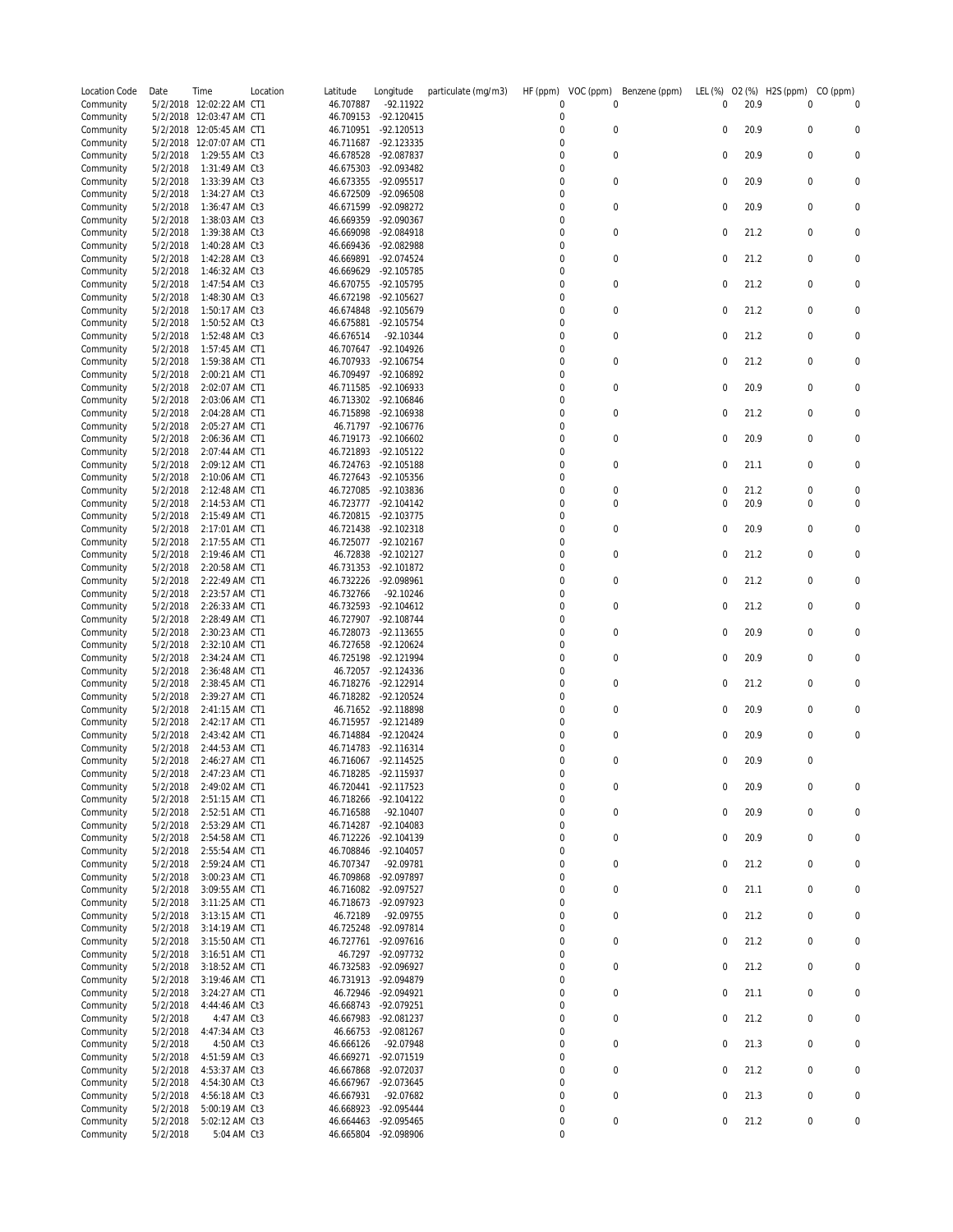| Location Code          | Date                 | Time                               | Location | Latitude               | Longitude                    | particulate (mg/m3) | HF (ppm)<br>VOC (ppm)                | Benzene (ppm)  | LEL (%)          | 02 (%) | H2S (ppm)        | CO (ppm) |
|------------------------|----------------------|------------------------------------|----------|------------------------|------------------------------|---------------------|--------------------------------------|----------------|------------------|--------|------------------|----------|
| Community              |                      | 5/2/2018 12:02:22 AM CT1           |          | 46.707887              | -92.11922                    |                     | 0                                    | $\Omega$       | 0                | 20.9   | 0                | 0        |
| Community<br>Community | 5/2/2018<br>5/2/2018 | 12:03:47 AM CT1<br>12:05:45 AM CT1 |          | 46.709153<br>46.710951 | $-92.120415$<br>$-92.120513$ |                     | 0<br>0                               | 0              | 0                | 20.9   | 0                | 0        |
| Community              | 5/2/2018             | 12:07:07 AM CT1                    |          | 46.711687              | -92.123335                   |                     | 0                                    |                |                  |        |                  |          |
| Community              | 5/2/2018             | 1:29:55 AM Ct3                     |          | 46.678528              | -92.087837                   |                     | 0                                    | 0              | 0                | 20.9   | 0                | 0        |
| Community              | 5/2/2018             | 1:31:49 AM Ct3                     |          | 46.675303              | -92.093482                   |                     | 0                                    |                |                  |        |                  |          |
| Community<br>Community | 5/2/2018<br>5/2/2018 | 1:33:39 AM Ct3<br>1:34:27 AM Ct3   |          | 46.673355<br>46.672509 | -92.095517<br>-92.096508     |                     | 0<br>0                               | 0              | 0                | 20.9   | 0                | 0        |
| Community              | 5/2/2018             | 1:36:47 AM Ct3                     |          | 46.671599              | -92.098272                   |                     | 0                                    | 0              | $\mathbf 0$      | 20.9   | $\mathbf 0$      | 0        |
| Community              | 5/2/2018             | 1:38:03 AM Ct3                     |          | 46.669359              | -92.090367                   |                     | 0                                    |                |                  |        |                  |          |
| Community              | 5/2/2018             | 1:39:38 AM Ct3                     |          | 46.669098              | -92.084918                   |                     | 0                                    | 0              | $\mathbf 0$      | 21.2   | 0                | 0        |
| Community              | 5/2/2018<br>5/2/2018 | 1:40:28 AM Ct3                     |          | 46.669436<br>46.669891 | -92.082988<br>-92.074524     |                     | 0<br>0                               | 0              | 0                | 21.2   | 0                | 0        |
| Community<br>Community | 5/2/2018             | 1:42:28 AM Ct3<br>1:46:32 AM Ct3   |          | 46.669629              | -92.105785                   |                     | 0                                    |                |                  |        |                  |          |
| Community              | 5/2/2018             | 1:47:54 AM Ct3                     |          | 46.670755              | -92.105795                   |                     | 0                                    | 0              | 0                | 21.2   | 0                | 0        |
| Community              | 5/2/2018             | 1:48:30 AM Ct3                     |          | 46.672198              | -92.105627                   |                     | 0                                    |                |                  |        |                  |          |
| Community              | 5/2/2018             | 1:50:17 AM Ct3                     |          | 46.674848              | -92.105679                   |                     | 0                                    | 0              | 0                | 21.2   | 0                | 0        |
| Community<br>Community | 5/2/2018<br>5/2/2018 | 1:50:52 AM Ct3<br>1:52:48 AM Ct3   |          | 46.675881<br>46.676514 | $-92.105754$<br>$-92.10344$  |                     | 0<br>0                               | 0              | 0                | 21.2   | 0                | 0        |
| Community              | 5/2/2018             | 1:57:45 AM CT1                     |          | 46.707647              | -92.104926                   |                     | 0                                    |                |                  |        |                  |          |
| Community              | 5/2/2018             | 1:59:38 AM CT1                     |          | 46.707933              | -92.106754                   |                     | $\boldsymbol{0}$                     | 0              | $\mathbf 0$      | 21.2   | 0                | 0        |
| Community              | 5/2/2018             | 2:00:21 AM CT1                     |          | 46.709497              | -92.106892                   |                     | 0                                    |                |                  |        |                  |          |
| Community              | 5/2/2018<br>5/2/2018 | 2:02:07 AM CT1                     |          | 46.711585<br>46.713302 | -92.106933<br>-92.106846     |                     | 0<br>0                               | $\mathbf 0$    | 0                | 20.9   | $\mathbf 0$      | 0        |
| Community<br>Community | 5/2/2018             | 2:03:06 AM CT1<br>2:04:28 AM CT1   |          | 46.715898              | -92.106938                   |                     | 0                                    | 0              | 0                | 21.2   | $\mathbf 0$      | 0        |
| Community              | 5/2/2018             | 2:05:27 AM CT1                     |          | 46.71797               | -92.106776                   |                     | 0                                    |                |                  |        |                  |          |
| Community              | 5/2/2018             | 2:06:36 AM CT1                     |          | 46.719173              | $-92.106602$                 |                     | 0                                    | $\mathbf 0$    | $\mathbf 0$      | 20.9   | $\mathbf 0$      | 0        |
| Community              | 5/2/2018             | 2:07:44 AM CT1                     |          | 46.721893              | -92.105122                   |                     | 0                                    |                |                  |        |                  |          |
| Community<br>Community | 5/2/2018<br>5/2/2018 | 2:09:12 AM CT1<br>2:10:06 AM CT1   |          | 46.724763<br>46.727643 | -92.105188<br>-92.105356     |                     | $\boldsymbol{0}$<br>0                | 0              | 0                | 21.1   | 0                | 0        |
| Community              | 5/2/2018             | 2:12:48 AM CT1                     |          | 46.727085              | -92.103836                   |                     | 0                                    | $\mathbf 0$    | $\mathbf 0$      | 21.2   | $\mathbf 0$      | 0        |
| Community              | 5/2/2018             | 2:14:53 AM CT1                     |          | 46.723777              | -92.104142                   |                     | 0                                    | $\mathbf 0$    | $\mathbf 0$      | 20.9   | 0                | 0        |
| Community              | 5/2/2018             | 2:15:49 AM CT1                     |          | 46.720815              | -92.103775                   |                     | 0                                    |                |                  |        |                  |          |
| Community              | 5/2/2018             | 2:17:01 AM CT1                     |          | 46.721438              | -92.102318                   |                     | $\boldsymbol{0}$                     | 0              | $\mathbf 0$      | 20.9   | $\mathbf 0$      | 0        |
| Community<br>Community | 5/2/2018<br>5/2/2018 | 2:17:55 AM CT1<br>2:19:46 AM CT1   |          | 46.725077<br>46.72838  | -92.102167<br>-92.102127     |                     | 0<br>0                               | 0              | 0                | 21.2   | $\mathbf 0$      | 0        |
| Community              | 5/2/2018             | 2:20:58 AM CT1                     |          | 46.731353              | -92.101872                   |                     | 0                                    |                |                  |        |                  |          |
| Community              | 5/2/2018             | 2:22:49 AM CT1                     |          | 46.732226              | -92.098961                   |                     | 0                                    | 0              | 0                | 21.2   | $\mathbf 0$      | 0        |
| Community              | 5/2/2018             | 2:23:57 AM CT1                     |          | 46.732766              | $-92.10246$                  |                     | 0                                    |                |                  |        |                  |          |
| Community              | 5/2/2018             | 2:26:33 AM CT1                     |          | 46.732593              | $-92.104612$                 |                     | 0<br>0                               | $\mathbf 0$    | $\mathbf 0$      | 21.2   | $\mathbf 0$      | 0        |
| Community<br>Community | 5/2/2018<br>5/2/2018 | 2:28:49 AM CT1<br>2:30:23 AM CT1   |          | 46.727907<br>46.728073 | -92.108744<br>-92.113655     |                     | $\boldsymbol{0}$                     | 0              | $\mathbf 0$      | 20.9   | 0                | 0        |
| Community              | 5/2/2018             | 2:32:10 AM CT1                     |          | 46.727658              | -92.120624                   |                     | 0                                    |                |                  |        |                  |          |
| Community              | 5/2/2018             | 2:34:24 AM CT1                     |          | 46.725198              | -92.121994                   |                     | 0                                    | $\overline{0}$ | $\mathbf 0$      | 20.9   | $\mathbf 0$      | 0        |
| Community              | 5/2/2018             | 2:36:48 AM CT1                     |          | 46.72057               | -92.124336                   |                     | 0                                    |                |                  |        |                  |          |
| Community<br>Community | 5/2/2018<br>5/2/2018 | 2:38:45 AM CT1<br>2:39:27 AM CT1   |          | 46.718276<br>46.718282 | -92.122914<br>-92.120524     |                     | 0<br>0                               | $\mathbf 0$    | 0                | 21.2   | $\mathbf 0$      | 0        |
| Community              | 5/2/2018             | 2:41:15 AM CT1                     |          | 46.71652               | -92.118898                   |                     | 0                                    | $\mathbf 0$    | $\mathbf 0$      | 20.9   | $\mathbf 0$      | 0        |
| Community              | 5/2/2018             | 2:42:17 AM CT1                     |          | 46.715957              | -92.121489                   |                     | 0                                    |                |                  |        |                  |          |
| Community              | 5/2/2018             | 2:43:42 AM CT1                     |          | 46.714884              | -92.120424                   |                     | 0                                    | $\mathbf 0$    | 0                | 20.9   | $\mathbf 0$      | 0        |
| Community              | 5/2/2018<br>5/2/2018 | 2:44:53 AM CT1<br>2:46:27 AM CT1   |          | 46.714783<br>46.716067 | $-92.116314$<br>-92.114525   |                     | 0<br>0                               | $\mathbf 0$    | $\mathbf 0$      | 20.9   | $\mathbf 0$      |          |
| Community<br>Community | 5/2/2018             | 2:47:23 AM CT1                     |          |                        | 46.718285 -92.115937         |                     | 0                                    |                |                  |        |                  |          |
| Community              | 5/2/2018             | 2:49:02 AM CT1                     |          | 46.720441              | $-92.117523$                 |                     | $\bf 0$                              | $\mathbf 0$    | $\boldsymbol{0}$ | 20.9   | $\boldsymbol{0}$ | 0        |
| Community              | 5/2/2018             | 2:51:15 AM CT1                     |          | 46.718266              | $-92.104122$                 |                     | $\boldsymbol{0}$                     |                |                  |        |                  |          |
| Community              | 5/2/2018             | 2:52:51 AM CT1                     |          | 46.716588              | $-92.10407$                  |                     | $\boldsymbol{0}$                     | $\mathbf 0$    | 0                | 20.9   | $\mathbf 0$      | 0        |
| Community<br>Community | 5/2/2018<br>5/2/2018 | 2:53:29 AM CT1<br>2:54:58 AM CT1   |          | 46.714287<br>46.712226 | -92.104083<br>$-92.104139$   |                     | 0<br>$\boldsymbol{0}$                | $\pmb{0}$      | 0                | 20.9   | $\mathbf 0$      | 0        |
| Community              | 5/2/2018             | 2:55:54 AM CT1                     |          | 46.708846              | $-92.104057$                 |                     | 0                                    |                |                  |        |                  |          |
| Community              | 5/2/2018             | 2:59:24 AM CT1                     |          | 46.707347              | -92.09781                    |                     | $\boldsymbol{0}$                     | 0              | $\mathbf 0$      | 21.2   | $\mathbf 0$      | 0        |
| Community              | 5/2/2018             | 3:00:23 AM CT1                     |          | 46.709868              | -92.097897                   |                     | 0                                    |                |                  |        |                  |          |
| Community<br>Community | 5/2/2018<br>5/2/2018 | 3:09:55 AM CT1<br>3:11:25 AM CT1   |          | 46.716082<br>46.718673 | -92.097527<br>-92.097923     |                     | $\boldsymbol{0}$<br>$\boldsymbol{0}$ | 0              | 0                | 21.1   | $\mathbf 0$      | 0        |
| Community              | 5/2/2018             | 3:13:15 AM CT1                     |          | 46.72189               | -92.09755                    |                     | $\boldsymbol{0}$                     | $\mathbf 0$    | $\boldsymbol{0}$ | 21.2   | $\mathbf 0$      | 0        |
| Community              | 5/2/2018             | 3:14:19 AM CT1                     |          | 46.725248              | -92.097814                   |                     | $\boldsymbol{0}$                     |                |                  |        |                  |          |
| Community              | 5/2/2018             | 3:15:50 AM CT1                     |          | 46.727761              | -92.097616                   |                     | 0                                    | $\pmb{0}$      | 0                | 21.2   | $\boldsymbol{0}$ | 0        |
| Community              | 5/2/2018             | 3:16:51 AM CT1                     |          | 46.7297                | -92.097732                   |                     | 0                                    |                |                  |        |                  |          |
| Community<br>Community | 5/2/2018<br>5/2/2018 | 3:18:52 AM CT1<br>3:19:46 AM CT1   |          | 46.732583<br>46.731913 | -92.096927<br>-92.094879     |                     | $\boldsymbol{0}$<br>$\boldsymbol{0}$ | $\mathbf 0$    | $\mathbf 0$      | 21.2   | $\mathbf 0$      | 0        |
| Community              | 5/2/2018             | 3:24:27 AM CT1                     |          | 46.72946               | -92.094921                   |                     | 0                                    | $\mathbf 0$    | 0                | 21.1   | $\boldsymbol{0}$ | 0        |
| Community              | 5/2/2018             | 4:44:46 AM Ct3                     |          | 46.668743              | -92.079251                   |                     | $\boldsymbol{0}$                     |                |                  |        |                  |          |
| Community              | 5/2/2018             | 4:47 AM Ct3                        |          | 46.667983              | -92.081237                   |                     | 0                                    | $\mathbf 0$    | 0                | 21.2   | $\boldsymbol{0}$ | 0        |
| Community              | 5/2/2018             | 4:47:34 AM Ct3                     |          | 46.66753               | -92.081267                   |                     | $\boldsymbol{0}$                     | $\mathbf 0$    |                  |        |                  |          |
| Community<br>Community | 5/2/2018<br>5/2/2018 | 4:50 AM Ct3<br>4:51:59 AM Ct3      |          | 46.666126<br>46.669271 | -92.07948<br>-92.071519      |                     | 0<br>$\boldsymbol{0}$                |                | $\pmb{0}$        | 21.3   | $\boldsymbol{0}$ | 0        |
| Community              | 5/2/2018             | 4:53:37 AM Ct3                     |          | 46.667868              | -92.072037                   |                     | $\boldsymbol{0}$                     | $\mathbf 0$    | $\mathbf 0$      | 21.2   | $\mathbf 0$      | 0        |
| Community              | 5/2/2018             | 4:54:30 AM Ct3                     |          | 46.667967              | -92.073645                   |                     | 0                                    |                |                  |        |                  |          |
| Community              | 5/2/2018             | 4:56:18 AM Ct3                     |          | 46.667931              | -92.07682                    |                     | 0                                    | 0              | 0                | 21.3   | $\mathbf 0$      | 0        |
| Community<br>Community | 5/2/2018<br>5/2/2018 | 5:00:19 AM Ct3<br>5:02:12 AM Ct3   |          | 46.668923<br>46.664463 | -92.095444<br>-92.095465     |                     | 0<br>0                               | 0              | 0                | 21.2   | 0                | 0        |
| Community              | 5/2/2018             | 5:04 AM Ct3                        |          | 46.665804              | -92.098906                   |                     | $\boldsymbol{0}$                     |                |                  |        |                  |          |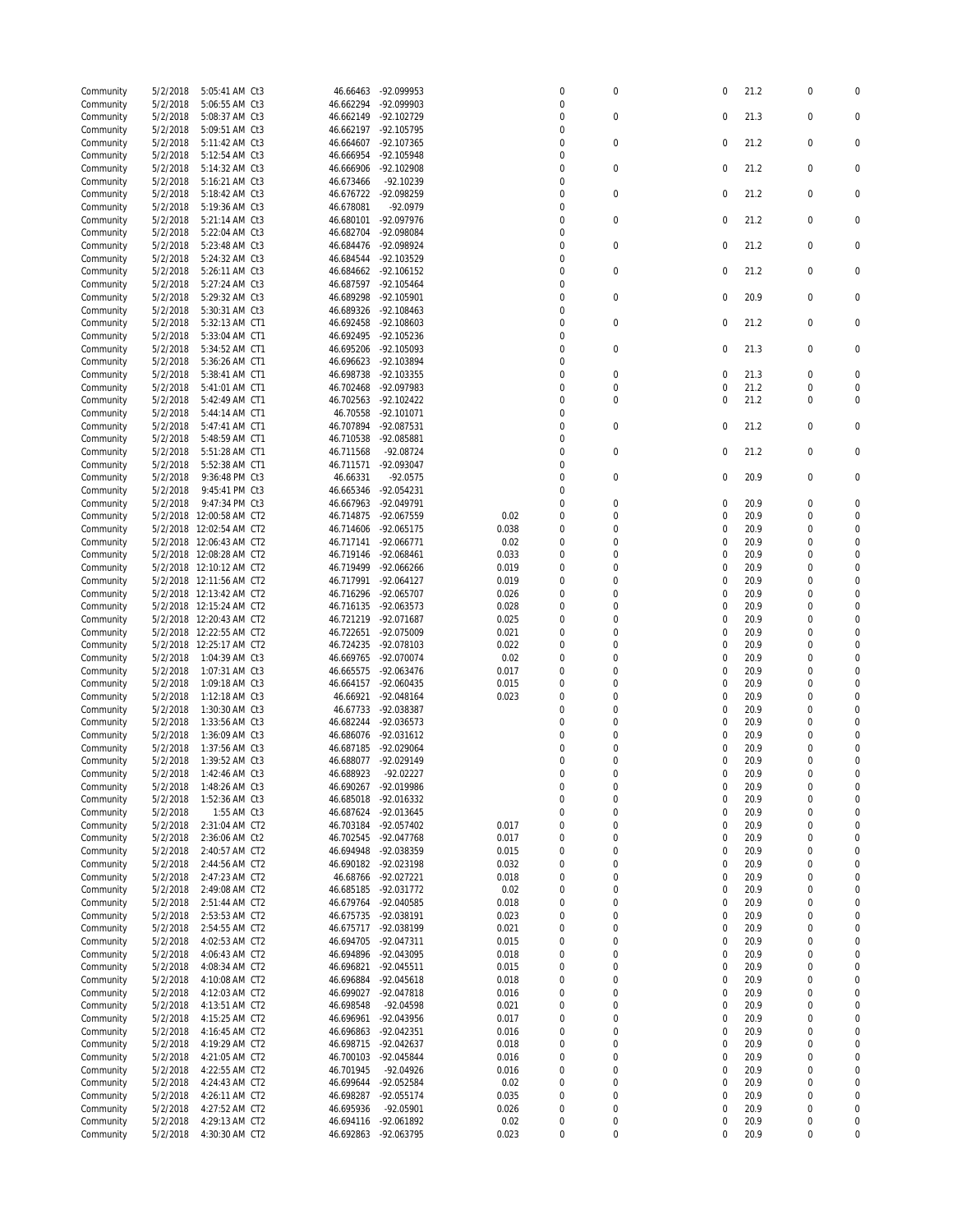| Community | 5/2/2018 | 5:05:41 AM Ct3           | 46.66463  | -92.099953   |       | 0                | $\mathbf 0$      | 0           | 21.2 | $\mathbf 0$      | $\mathbf 0$      |
|-----------|----------|--------------------------|-----------|--------------|-------|------------------|------------------|-------------|------|------------------|------------------|
| Community | 5/2/2018 | 5:06:55 AM Ct3           | 46.662294 | -92.099903   |       | 0                |                  |             |      |                  |                  |
| Community | 5/2/2018 | 5:08:37 AM Ct3           | 46.662149 | -92.102729   |       | $\mathbf 0$      | $\mathbf 0$      | $\mathbf 0$ | 21.3 | $\mathbf 0$      | 0                |
| Community | 5/2/2018 | 5:09:51 AM Ct3           | 46.662197 | -92.105795   |       | 0                |                  |             |      |                  |                  |
| Community | 5/2/2018 | 5:11:42 AM Ct3           | 46.664607 | -92.107365   |       | $\mathbf 0$      | $\mathbf 0$      | 0           | 21.2 | $\mathbf 0$      | 0                |
| Community | 5/2/2018 | 5:12:54 AM Ct3           | 46.666954 | -92.105948   |       | $\mathbf 0$      |                  |             |      |                  |                  |
| Community | 5/2/2018 | 5:14:32 AM Ct3           | 46.666906 | $-92.102908$ |       | $\mathbf 0$      | $\bf 0$          | 0           | 21.2 | $\mathbf 0$      | $\mathbf 0$      |
| Community | 5/2/2018 | 5:16:21 AM Ct3           | 46.673466 | -92.10239    |       | 0                |                  |             |      |                  |                  |
| Community | 5/2/2018 | 5:18:42 AM Ct3           | 46.676722 | -92.098259   |       | $\mathbf 0$      | $\bf 0$          | 0           | 21.2 | $\mathbf 0$      | $\mathbf 0$      |
| Community | 5/2/2018 | 5:19:36 AM Ct3           | 46.678081 | $-92.0979$   |       | $\mathbf 0$      |                  |             |      |                  |                  |
| Community | 5/2/2018 | 5:21:14 AM Ct3           | 46.680101 | -92.097976   |       | $\mathbf 0$      | $\mathbf 0$      | 0           | 21.2 | $\mathbf 0$      | 0                |
| Community | 5/2/2018 | 5:22:04 AM Ct3           | 46.682704 | -92.098084   |       | 0                |                  |             |      |                  |                  |
| Community | 5/2/2018 | 5:23:48 AM Ct3           | 46.684476 | -92.098924   |       | $\mathbf 0$      | $\mathbf 0$      | 0           | 21.2 | $\mathbf 0$      | 0                |
| Community | 5/2/2018 | 5:24:32 AM Ct3           | 46.684544 | $-92.103529$ |       | 0                |                  |             |      |                  |                  |
|           |          |                          |           | $-92.106152$ |       | $\Omega$         | $\mathbf 0$      | 0           | 21.2 | $\mathbf 0$      | 0                |
| Community | 5/2/2018 | 5:26:11 AM Ct3           | 46.684662 |              |       | 0                |                  |             |      |                  |                  |
| Community | 5/2/2018 | 5:27:24 AM Ct3           | 46.687597 | -92.105464   |       | $\mathbf 0$      |                  |             |      |                  | $\mathbf 0$      |
| Community | 5/2/2018 | 5:29:32 AM Ct3           | 46.689298 | -92.105901   |       |                  | $\mathbf 0$      | 0           | 20.9 | $\mathbf 0$      |                  |
| Community | 5/2/2018 | 5:30:31 AM Ct3           | 46.689326 | -92.108463   |       | 0                |                  |             |      |                  |                  |
| Community | 5/2/2018 | 5:32:13 AM CT1           | 46.692458 | -92.108603   |       | $\mathbf 0$      | $\mathbf 0$      | 0           | 21.2 | $\mathbf 0$      | 0                |
| Community | 5/2/2018 | 5:33:04 AM CT1           | 46.692495 | -92.105236   |       | 0                |                  |             |      |                  |                  |
| Community | 5/2/2018 | 5:34:52 AM CT1           | 46.695206 | -92.105093   |       | $\mathbf 0$      | $\mathbf 0$      | 0           | 21.3 | $\mathbf 0$      | 0                |
| Community | 5/2/2018 | 5:36:26 AM CT1           | 46.696623 | -92.103894   |       | $\overline{0}$   |                  |             |      |                  |                  |
| Community | 5/2/2018 | 5:38:41 AM CT1           | 46.698738 | -92.103355   |       | $\mathbf 0$      | $\mathbf 0$      | 0           | 21.3 | $\mathbf 0$      | $\Omega$         |
| Community | 5/2/2018 | 5:41:01 AM CT1           | 46.702468 | -92.097983   |       | $\overline{0}$   | $\mathbf 0$      | 0           | 21.2 | $\mathbf 0$      | 0                |
| Community | 5/2/2018 | 5:42:49 AM CT1           | 46.702563 | -92.102422   |       | 0                | $\mathbf 0$      | 0           | 21.2 | $\mathbf 0$      | $\mathbf 0$      |
| Community | 5/2/2018 | 5:44:14 AM CT1           | 46.70558  | -92.101071   |       | $\mathbf 0$      |                  |             |      |                  |                  |
| Community | 5/2/2018 | 5:47:41 AM CT1           | 46.707894 | -92.087531   |       | $\mathbf 0$      | 0                | $\mathbf 0$ | 21.2 | $\mathbf 0$      | $\mathbf 0$      |
| Community | 5/2/2018 | 5:48:59 AM CT1           | 46.710538 | -92.085881   |       | $\overline{0}$   |                  |             |      |                  |                  |
| Community | 5/2/2018 | 5:51:28 AM CT1           | 46.711568 | $-92.08724$  |       | 0                | $\mathbf 0$      | $\mathbf 0$ | 21.2 | $\mathbf 0$      | $\mathbf 0$      |
| Community | 5/2/2018 | 5:52:38 AM CT1           | 46.711571 | -92.093047   |       | $\mathbf 0$      |                  |             |      |                  |                  |
| Community | 5/2/2018 | 9:36:48 PM Ct3           | 46.66331  | $-92.0575$   |       | $\mathbf 0$      | $\mathbf 0$      | $\mathbf 0$ | 20.9 | $\mathbf 0$      | $\mathbf 0$      |
| Community | 5/2/2018 | 9:45:41 PM Ct3           | 46.665346 | -92.054231   |       | $\mathbf 0$      |                  |             |      |                  |                  |
| Community | 5/2/2018 | 9:47:34 PM Ct3           | 46.667963 | -92.049791   |       | 0                | $\mathbf 0$      | $\mathbf 0$ | 20.9 | $\mathbf 0$      | 0                |
| Community | 5/2/2018 | 12:00:58 AM CT2          | 46.714875 | -92.067559   | 0.02  | 0                | 0                | 0           | 20.9 | $\mathbf 0$      | 0                |
| Community | 5/2/2018 | 12:02:54 AM CT2          | 46.714606 | -92.065175   | 0.038 | 0                | 0                | $\mathbf 0$ | 20.9 | $\mathbf 0$      | $\mathbf 0$      |
| Community |          | 5/2/2018 12:06:43 AM CT2 | 46.717141 | -92.066771   | 0.02  | 0                | 0                | 0           | 20.9 | $\mathbf 0$      | $\Omega$         |
| Community | 5/2/2018 | 12:08:28 AM CT2          | 46.719146 | -92.068461   | 0.033 | 0                | 0                | $\mathbf 0$ | 20.9 | $\mathbf 0$      | $\Omega$         |
| Community |          | 5/2/2018 12:10:12 AM CT2 | 46.719499 | $-92.066266$ | 0.019 | $\mathbf 0$      | 0                | $\mathbf 0$ | 20.9 | $\mathbf 0$      | $\Omega$         |
| Community |          | 5/2/2018 12:11:56 AM CT2 | 46.717991 | -92.064127   | 0.019 | 0                | 0                | 0           | 20.9 | $\mathbf 0$      | 0                |
| Community | 5/2/2018 | 12:13:42 AM CT2          | 46.716296 | -92.065707   | 0.026 | $\mathbf 0$      | 0                | 0           | 20.9 | $\mathbf 0$      | 0                |
| Community |          | 5/2/2018 12:15:24 AM CT2 | 46.716135 | -92.063573   | 0.028 | 0                | 0                | $\mathbf 0$ | 20.9 | $\mathbf 0$      | $\Omega$         |
| Community |          | 5/2/2018 12:20:43 AM CT2 | 46.721219 | -92.071687   | 0.025 | 0                | 0                | 0           | 20.9 | $\mathbf 0$      | $\Omega$         |
|           |          | 5/2/2018 12:22:55 AM CT2 | 46.722651 | -92.075009   | 0.021 | 0                | 0                | $\mathbf 0$ | 20.9 | $\mathbf 0$      | $\mathbf 0$      |
| Community |          |                          |           |              |       |                  |                  |             |      |                  |                  |
| Community |          | 5/2/2018 12:25:17 AM CT2 | 46.724235 | -92.078103   | 0.022 | $\mathbf 0$      | $\Omega$         | 0           | 20.9 | $\mathbf 0$      | $\Omega$         |
| Community | 5/2/2018 | 1:04:39 AM Ct3           | 46.669765 | -92.070074   | 0.02  | $\mathbf 0$      | 0                | 0           | 20.9 | $\mathbf 0$      | $\Omega$         |
| Community | 5/2/2018 | 1:07:31 AM Ct3           | 46.665575 | -92.063476   | 0.017 | 0                | 0                | 0           | 20.9 | 0                | $\Omega$         |
| Community | 5/2/2018 | 1:09:18 AM Ct3           | 46.664157 | -92.060435   | 0.015 | 0                | $\Omega$         | 0           | 20.9 | $\mathbf 0$      | 0                |
| Community | 5/2/2018 | 1:12:18 AM Ct3           | 46.66921  | -92.048164   | 0.023 | $\mathbf 0$      | $\Omega$         | 0           | 20.9 | $\mathbf 0$      | $\Omega$         |
| Community | 5/2/2018 | 1:30:30 AM Ct3           | 46.67733  | -92.038387   |       | $\mathbf 0$      | $\mathbf 0$      | 0           | 20.9 | 0                | $\Omega$         |
| Community | 5/2/2018 | 1:33:56 AM Ct3           | 46.682244 | -92.036573   |       | 0                | $\mathbf 0$      | 0           | 20.9 | $\mathbf 0$      | $\Omega$         |
| Community | 5/2/2018 | 1:36:09 AM Ct3           | 46.686076 | -92.031612   |       | $\Omega$         | $\mathbf 0$      | $\mathbf 0$ | 20.9 | $\mathbf 0$      | $\Omega$         |
| Community | 5/2/2018 | 1:37:56 AM Ct3           | 46.687185 | -92.029064   |       | $\Omega$         | $\Omega$         | 0           | 20.9 | 0                | 0                |
| Community | 5/2/2018 | 1:39:52 AM Ct3           | 46.688077 | -92.029149   |       | $\mathbf 0$      | $\Omega$         | $\Omega$    | 20.9 | $\mathbf 0$      | $\mathbf 0$      |
| Community | 5/2/2018 | 1:42:46 AM Ct3           | 46.688923 | $-92.02227$  |       | $\Omega$         | $\Omega$         | $\Omega$    | 20.9 | $\Omega$         | $\mathbf 0$      |
| Community | 5/2/2018 | 1:48:26 AM Ct3           | 46.690267 | -92.019986   |       | 0                | $\pmb{0}$        | 0           | 20.9 | $\boldsymbol{0}$ | 0                |
| Community | 5/2/2018 | 1:52:36 AM Ct3           | 46.685018 | -92.016332   |       | $\pmb{0}$        | $\mathbf 0$      | 0           | 20.9 | $\mathbf 0$      | $\boldsymbol{0}$ |
| Community | 5/2/2018 | 1:55 AM Ct3              | 46.687624 | -92.013645   |       | 0                | $\mathbf 0$      | 0           | 20.9 | $\boldsymbol{0}$ | $\mathbf 0$      |
| Community | 5/2/2018 | 2:31:04 AM CT2           | 46.703184 | -92.057402   | 0.017 | 0                | $\mathbf 0$      | 0           | 20.9 | 0                | 0                |
| Community | 5/2/2018 | 2:36:06 AM Ct2           | 46.702545 | -92.047768   | 0.017 | $\pmb{0}$        | $\mathbf 0$      | 0           | 20.9 | $\boldsymbol{0}$ | $\mathbf 0$      |
| Community | 5/2/2018 | 2:40:57 AM CT2           | 46.694948 | -92.038359   | 0.015 | 0                | $\mathbf 0$      | 0           | 20.9 | 0                | 0                |
| Community | 5/2/2018 | 2:44:56 AM CT2           | 46.690182 | -92.023198   | 0.032 | $\pmb{0}$        | $\mathbf 0$      | 0           | 20.9 | $\boldsymbol{0}$ | $\mathbf 0$      |
| Community | 5/2/2018 | 2:47:23 AM CT2           | 46.68766  | -92.027221   | 0.018 | 0                | $\boldsymbol{0}$ | 0           | 20.9 | 0                | 0                |
| Community | 5/2/2018 | 2:49:08 AM CT2           | 46.685185 | -92.031772   | 0.02  | 0                | $\boldsymbol{0}$ | 0           | 20.9 | $\boldsymbol{0}$ | O                |
| Community | 5/2/2018 | 2:51:44 AM CT2           | 46.679764 | -92.040585   | 0.018 | 0                | 0                | 0           | 20.9 | 0                | 0                |
| Community | 5/2/2018 | 2:53:53 AM CT2           | 46.675735 | -92.038191   | 0.023 | 0                | 0                | 0           | 20.9 | $\boldsymbol{0}$ | O                |
| Community | 5/2/2018 | 2:54:55 AM CT2           | 46.675717 | -92.038199   | 0.021 | 0                | 0                | 0           | 20.9 | $\boldsymbol{0}$ | 0                |
| Community | 5/2/2018 | 4:02:53 AM CT2           | 46.694705 | -92.047311   | 0.015 | 0                | $\mathbf 0$      | 0           | 20.9 | $\boldsymbol{0}$ | 0                |
| Community | 5/2/2018 | 4:06:43 AM CT2           | 46.694896 | -92.043095   | 0.018 | $\pmb{0}$        | $\mathbf 0$      | 0           | 20.9 | $\boldsymbol{0}$ | $\boldsymbol{0}$ |
| Community | 5/2/2018 | 4:08:34 AM CT2           | 46.696821 | -92.045511   | 0.015 | 0                | 0                | 0           | 20.9 | 0                | 0                |
| Community | 5/2/2018 | 4:10:08 AM CT2           | 46.696884 | $-92.045618$ | 0.018 | $\mathbf 0$      | $\mathbf 0$      | 0           | 20.9 | $\boldsymbol{0}$ | 0                |
| Community | 5/2/2018 | 4:12:03 AM CT2           | 46.699027 | -92.047818   | 0.016 | 0                | $\mathbf 0$      | 0           | 20.9 | 0                | 0                |
| Community |          | 4:13:51 AM CT2           | 46.698548 | -92.04598    | 0.021 | $\pmb{0}$        | $\mathbf 0$      | 0           | 20.9 | $\boldsymbol{0}$ | $\mathbf 0$      |
|           | 5/2/2018 |                          |           |              |       |                  | 0                | 0           |      |                  |                  |
| Community | 5/2/2018 | 4:15:25 AM CT2           | 46.696961 | -92.043956   | 0.017 | 0<br>$\mathbf 0$ |                  |             | 20.9 | 0                | 0<br>$\mathbf 0$ |
| Community | 5/2/2018 | 4:16:45 AM CT2           | 46.696863 | -92.042351   | 0.016 |                  | $\mathbf 0$      | 0           | 20.9 | $\boldsymbol{0}$ | 0                |
| Community | 5/2/2018 | 4:19:29 AM CT2           | 46.698715 | -92.042637   | 0.018 | 0                | 0                | $\mathbf 0$ | 20.9 | 0                |                  |
| Community | 5/2/2018 | 4:21:05 AM CT2           | 46.700103 | -92.045844   | 0.016 | 0                | $\mathbf 0$      | 0           | 20.9 | $\boldsymbol{0}$ | 0                |
| Community | 5/2/2018 | 4:22:55 AM CT2           | 46.701945 | -92.04926    | 0.016 | 0                | 0                | 0           | 20.9 | 0                | 0                |
| Community | 5/2/2018 | 4:24:43 AM CT2           | 46.699644 | -92.052584   | 0.02  | $\pmb{0}$        | $\mathbf 0$      | 0           | 20.9 | $\boldsymbol{0}$ | 0                |
| Community | 5/2/2018 | 4:26:11 AM CT2           | 46.698287 | -92.055174   | 0.035 | 0                | $\mathbf 0$      | 0           | 20.9 | $\boldsymbol{0}$ | 0                |
| Community | 5/2/2018 | 4:27:52 AM CT2           | 46.695936 | -92.05901    | 0.026 | 0                | $\mathbf 0$      | 0           | 20.9 | $\boldsymbol{0}$ | $\mathbf 0$      |
| Community | 5/2/2018 | 4:29:13 AM CT2           | 46.694116 | -92.061892   | 0.02  | 0                | $\mathbf 0$      | 0           | 20.9 | 0                | 0                |
| Community | 5/2/2018 | 4:30:30 AM CT2           | 46.692863 | -92.063795   | 0.023 | 0                | $\boldsymbol{0}$ | 0           | 20.9 | $\bf 0$          | 0                |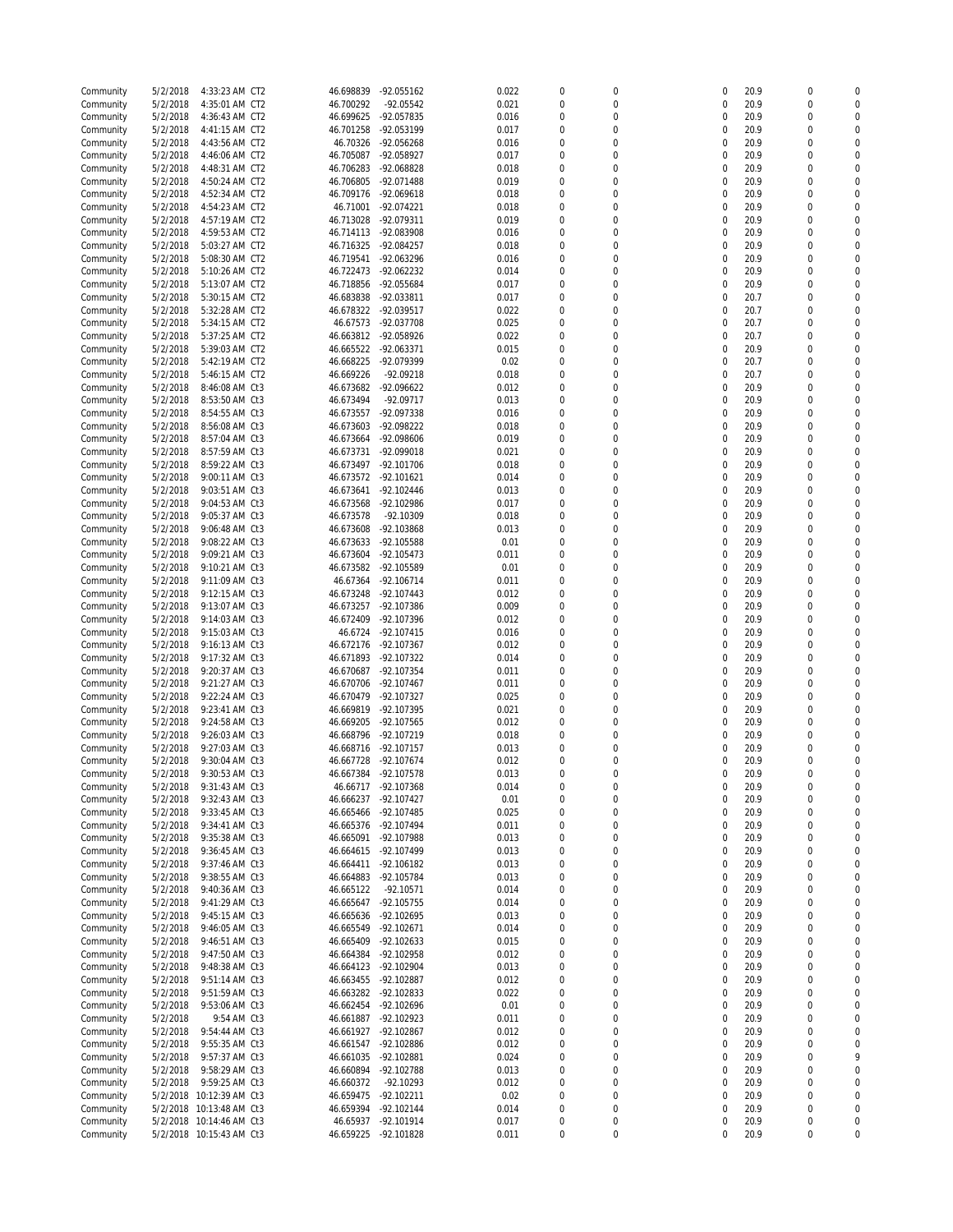| Community | 5/2/2018 | 4:33:23 AM CT2           | 46.698839 | -92.055162   | 0.022 | $\mathbf 0$      | 0                | $\mathbf 0$ | 20.9 | $\mathbf 0$      | O                |
|-----------|----------|--------------------------|-----------|--------------|-------|------------------|------------------|-------------|------|------------------|------------------|
| Community | 5/2/2018 | 4:35:01 AM CT2           | 46.700292 | -92.05542    | 0.021 | $\mathbf 0$      | 0                | 0           | 20.9 | $\mathbf 0$      | $\mathbf 0$      |
| Community | 5/2/2018 | 4:36:43 AM CT2           | 46.699625 | -92.057835   | 0.016 | $\mathbf 0$      | 0                | 0           | 20.9 | $\mathbf 0$      | $\Omega$         |
| Community | 5/2/2018 | 4:41:15 AM CT2           | 46.701258 | -92.053199   | 0.017 | 0                | $\mathbf 0$      | 0           | 20.9 | $\mathbf 0$      | $\mathbf 0$      |
|           |          |                          |           |              |       | $\overline{0}$   |                  |             |      |                  | $\Omega$         |
| Community | 5/2/2018 | 4:43:56 AM CT2           | 46.70326  | -92.056268   | 0.016 |                  | 0                | 0           | 20.9 | $\mathbf 0$      |                  |
| Community | 5/2/2018 | 4:46:06 AM CT2           | 46.705087 | -92.058927   | 0.017 | 0                | 0                | 0           | 20.9 | 0                | $\Omega$         |
| Community | 5/2/2018 | 4:48:31 AM CT2           | 46.706283 | -92.068828   | 0.018 | $\boldsymbol{0}$ | $\mathbf 0$      | 0           | 20.9 | $\mathbf 0$      | $\Omega$         |
| Community | 5/2/2018 | 4:50:24 AM CT2           | 46.706805 | -92.071488   | 0.019 | 0                | $\mathbf 0$      | 0           | 20.9 | 0                | 0                |
| Community | 5/2/2018 | 4:52:34 AM CT2           | 46.709176 | -92.069618   | 0.018 | $\overline{0}$   | $\mathbf 0$      | 0           | 20.9 | 0                | $\Omega$         |
|           |          |                          |           |              |       |                  |                  |             |      |                  |                  |
| Community | 5/2/2018 | 4:54:23 AM CT2           | 46.71001  | -92.074221   | 0.018 | 0                | $\mathbf 0$      | 0           | 20.9 | $\mathbf 0$      | $\Omega$         |
| Community | 5/2/2018 | 4:57:19 AM CT2           | 46.713028 | -92.079311   | 0.019 | 0                | $\mathbf 0$      | 0           | 20.9 | $\mathbf 0$      | $\Omega$         |
| Community | 5/2/2018 | 4:59:53 AM CT2           | 46.714113 | -92.083908   | 0.016 | $\boldsymbol{0}$ | $\overline{0}$   | 0           | 20.9 | $\mathbf 0$      | $\mathbf 0$      |
| Community | 5/2/2018 | 5:03:27 AM CT2           | 46.716325 | -92.084257   | 0.018 | $\Omega$         | $\Omega$         | 0           | 20.9 | $\mathbf 0$      | $\Omega$         |
|           |          |                          |           |              |       |                  |                  |             |      |                  |                  |
| Community | 5/2/2018 | 5:08:30 AM CT2           | 46.719541 | -92.063296   | 0.016 | $\overline{0}$   | 0                | 0           | 20.9 | $\mathbf 0$      | $\Omega$         |
| Community | 5/2/2018 | 5:10:26 AM CT2           | 46.722473 | -92.062232   | 0.014 | 0                | 0                | 0           | 20.9 | $\mathbf 0$      | $\Omega$         |
| Community | 5/2/2018 | 5:13:07 AM CT2           | 46.718856 | -92.055684   | 0.017 | $\overline{0}$   | $\overline{0}$   | 0           | 20.9 | $\mathbf 0$      | 0                |
| Community | 5/2/2018 | 5:30:15 AM CT2           | 46.683838 | -92.033811   | 0.017 | 0                | 0                | 0           | 20.7 | $\mathbf 0$      | $\Omega$         |
|           |          |                          |           |              |       |                  |                  |             |      |                  |                  |
| Community | 5/2/2018 | 5:32:28 AM CT2           | 46.678322 | -92.039517   | 0.022 | $\overline{0}$   | $\mathbf 0$      | 0           | 20.7 | $\mathbf 0$      | $\Omega$         |
| Community | 5/2/2018 | 5:34:15 AM CT2           | 46.67573  | -92.037708   | 0.025 | 0                | $\mathbf 0$      | 0           | 20.7 | $\mathbf 0$      | $\Omega$         |
| Community | 5/2/2018 | 5:37:25 AM CT2           | 46.663812 | -92.058926   | 0.022 | $\boldsymbol{0}$ | $\mathbf 0$      | 0           | 20.7 | $\mathbf 0$      | 0                |
| Community | 5/2/2018 | 5:39:03 AM CT2           | 46.665522 | -92.063371   | 0.015 | 0                | 0                | 0           | 20.9 | $\mathbf 0$      | $\Omega$         |
|           |          |                          |           |              |       | $\overline{0}$   | $\mathbf 0$      | $\mathbf 0$ |      | $\mathbf 0$      | $\Omega$         |
| Community | 5/2/2018 | 5:42:19 AM CT2           | 46.668225 | -92.079399   | 0.02  |                  |                  |             | 20.7 |                  |                  |
| Community | 5/2/2018 | 5:46:15 AM CT2           | 46.669226 | $-92.09218$  | 0.018 | 0                | 0                | $\mathbf 0$ | 20.7 | $\mathbf 0$      | $\mathbf 0$      |
| Community | 5/2/2018 | 8:46:08 AM Ct3           | 46.673682 | -92.096622   | 0.012 | $\overline{0}$   | 0                | 0           | 20.9 | $\mathbf 0$      | $\Omega$         |
| Community | 5/2/2018 | 8:53:50 AM Ct3           | 46.673494 | -92.09717    | 0.013 | 0                | 0                | 0           | 20.9 | $\mathbf 0$      | $\Omega$         |
| Community | 5/2/2018 | 8:54:55 AM Ct3           | 46.673557 | -92.097338   | 0.016 | $\mathbf 0$      | 0                | 0           | 20.9 | $\mathbf 0$      | $\Omega$         |
|           |          |                          |           |              |       |                  |                  |             |      |                  | $\Omega$         |
| Community | 5/2/2018 | 8:56:08 AM Ct3           | 46.673603 | -92.098222   | 0.018 | 0                | $\mathbf 0$      | 0           | 20.9 | $\mathbf 0$      |                  |
| Community | 5/2/2018 | 8:57:04 AM Ct3           | 46.673664 | -92.098606   | 0.019 | $\boldsymbol{0}$ | $\mathbf 0$      | 0           | 20.9 | 0                | $\Omega$         |
| Community | 5/2/2018 | 8:57:59 AM Ct3           | 46.673731 | -92.099018   | 0.021 | 0                | $\mathbf 0$      | 0           | 20.9 | $\mathbf 0$      | $\Omega$         |
| Community | 5/2/2018 | 8:59:22 AM Ct3           | 46.673497 | -92.101706   | 0.018 | $\overline{0}$   | $\mathbf 0$      | 0           | 20.9 | 0                | $\Omega$         |
|           |          |                          | 46.673572 |              |       | 0                | $\mathbf 0$      | 0           |      | 0                | $\Omega$         |
| Community | 5/2/2018 | 9:00:11 AM Ct3           |           | $-92.101621$ | 0.014 |                  |                  |             | 20.9 |                  |                  |
| Community | 5/2/2018 | 9:03:51 AM Ct3           | 46.673641 | -92.102446   | 0.013 | $\overline{0}$   | $\mathbf 0$      | 0           | 20.9 | 0                | $\Omega$         |
| Community | 5/2/2018 | 9:04:53 AM Ct3           | 46.673568 | -92.102986   | 0.017 | $\boldsymbol{0}$ | $\mathbf 0$      | $\mathbf 0$ | 20.9 | $\mathbf 0$      | $\mathbf 0$      |
| Community | 5/2/2018 | 9:05:37 AM Ct3           | 46.673578 | -92.10309    | 0.018 | 0                | $\Omega$         | $\mathbf 0$ | 20.9 | $\mathbf 0$      | $\Omega$         |
| Community | 5/2/2018 | 9:06:48 AM Ct3           | 46.673608 | -92.103868   | 0.013 | $\overline{0}$   | 0                | $\mathbf 0$ | 20.9 | $\mathbf 0$      | $\Omega$         |
|           |          |                          |           |              |       |                  |                  |             |      |                  | $\Omega$         |
| Community | 5/2/2018 | 9:08:22 AM Ct3           | 46.673633 | -92.105588   | 0.01  | 0                | 0                | 0           | 20.9 | 0                |                  |
| Community | 5/2/2018 | 9:09:21 AM Ct3           | 46.673604 | -92.105473   | 0.011 | $\overline{0}$   | $\overline{0}$   | 0           | 20.9 | 0                | 0                |
| Community | 5/2/2018 | 9:10:21 AM Ct3           | 46.673582 | -92.105589   | 0.01  | 0                | $\mathbf 0$      | 0           | 20.9 | $\mathbf 0$      | $\Omega$         |
| Community | 5/2/2018 | 9:11:09 AM Ct3           | 46.67364  | $-92.106714$ | 0.011 | $\overline{0}$   | $\mathbf 0$      | 0           | 20.9 | $\mathbf 0$      | $\Omega$         |
| Community | 5/2/2018 | 9:12:15 AM Ct3           | 46.673248 | $-92.107443$ | 0.012 | 0                | $\mathbf 0$      | 0           | 20.9 | 0                | $\Omega$         |
|           |          |                          |           |              |       |                  |                  |             |      |                  |                  |
| Community | 5/2/2018 | 9:13:07 AM Ct3           | 46.673257 | -92.107386   | 0.009 | $\boldsymbol{0}$ | $\mathbf 0$      | 0           | 20.9 | $\mathbf 0$      | $\Omega$         |
| Community | 5/2/2018 | 9:14:03 AM Ct3           | 46.672409 | -92.107396   | 0.012 | $\Omega$         | $\Omega$         | 0           | 20.9 | $\mathbf 0$      | $\Omega$         |
| Community | 5/2/2018 | 9:15:03 AM Ct3           | 46.6724   | -92.107415   | 0.016 | $\overline{0}$   | $\mathbf 0$      | $\mathbf 0$ | 20.9 | $\mathbf 0$      | 0                |
| Community | 5/2/2018 | 9:16:13 AM Ct3           | 46.672176 | -92.107367   | 0.012 | 0                | $\overline{0}$   | $\mathbf 0$ | 20.9 | $\mathbf 0$      | $\Omega$         |
|           |          |                          |           |              |       |                  |                  |             |      |                  |                  |
| Community | 5/2/2018 | 9:17:32 AM Ct3           | 46.671893 | -92.107322   | 0.014 | $\overline{0}$   | $\mathbf 0$      | 0           | 20.9 | $\mathbf 0$      | $\Omega$         |
| Community | 5/2/2018 | 9:20:37 AM Ct3           | 46.670687 | -92.107354   | 0.011 | 0                | 0                | 0           | 20.9 | $\mathbf 0$      | $\mathbf 0$      |
| Community | 5/2/2018 | 9:21:27 AM Ct3           | 46.670706 | $-92.107467$ | 0.011 | $\mathbf 0$      | 0                | 0           | 20.9 | 0                | $\Omega$         |
| Community | 5/2/2018 | 9:22:24 AM Ct3           | 46.670479 | -92.107327   | 0.025 | 0                | 0                | 0           | 20.9 | 0                | $\Omega$         |
| Community | 5/2/2018 | 9:23:41 AM Ct3           | 46.669819 | -92.107395   | 0.021 | $\boldsymbol{0}$ | $\mathbf 0$      | 0           | 20.9 | 0                | 0                |
|           |          |                          |           |              |       |                  |                  |             |      |                  |                  |
| Community | 5/2/2018 | 9:24:58 AM Ct3           | 46.669205 | -92.107565   | 0.012 | 0                | $\mathbf 0$      | 0           | 20.9 | 0                | 0                |
| Community | 5/2/2018 | 9:26:03 AM Ct3           | 46.668796 | -92.107219   | 0.018 | $\overline{0}$   | $\mathbf 0$      | 0           | 20.9 | 0                | 0                |
| Community | 5/2/2018 | 9:27:03 AM Ct3           | 46.668716 | $-92.107157$ | 0.013 | $\mathbf 0$      | $\mathbf 0$      | 0           | 20.9 | 0                | 0                |
| Community | 5/2/2018 | 9:30:04 AM Ct3           | 46.667728 | $-92.107674$ | 0.012 | $\mathbf 0$      | 0                | 0           | 20.9 | $\mathbf 0$      | 0                |
|           |          | 9:30:53 AM Ct3           |           | -92.107578   | 0.013 | 0                | $\mathbf{0}$     | $\mathbf 0$ | 20.9 | $\mathbf 0$      | $\mathbf 0$      |
| Community | 5/2/2018 |                          | 46.667384 |              |       |                  |                  |             |      |                  |                  |
| Community | 5/2/2018 | 9:31:43 AM Ct3           | 46.66717  | -92.107368   | 0.014 | 0                | 0                | 0           | 20.9 | $\boldsymbol{0}$ | 0                |
| Community | 5/2/2018 | 9:32:43 AM Ct3           | 46.666237 | -92.107427   | 0.01  | $\mathbf{0}$     | $\boldsymbol{0}$ | $\mathbf 0$ | 20.9 | $\boldsymbol{0}$ | $\mathbf 0$      |
| Community | 5/2/2018 | 9:33:45 AM Ct3           | 46.665466 | -92.107485   | 0.025 | 0                | 0                | 0           | 20.9 | 0                | 0                |
| Community | 5/2/2018 | 9:34:41 AM Ct3           | 46.665376 | -92.107494   | 0.011 | 0                | 0                | 0           | 20.9 | $\boldsymbol{0}$ | $\boldsymbol{0}$ |
|           |          | 9:35:38 AM Ct3           |           |              |       | 0                |                  | 0           |      |                  | 0                |
| Community | 5/2/2018 |                          | 46.665091 | -92.107988   | 0.013 |                  | 0                |             | 20.9 | 0                |                  |
| Community | 5/2/2018 | 9:36:45 AM Ct3           | 46.664615 | -92.107499   | 0.013 | $\overline{0}$   | $\boldsymbol{0}$ | 0           | 20.9 | $\boldsymbol{0}$ | $\mathbf 0$      |
| Community | 5/2/2018 | 9:37:46 AM Ct3           | 46.664411 | -92.106182   | 0.013 | 0                | 0                | 0           | 20.9 | 0                | 0                |
| Community | 5/2/2018 | 9:38:55 AM Ct3           | 46.664883 | -92.105784   | 0.013 | $\boldsymbol{0}$ | $\boldsymbol{0}$ | 0           | 20.9 | $\boldsymbol{0}$ | $\boldsymbol{0}$ |
| Community | 5/2/2018 | 9:40:36 AM Ct3           | 46.665122 | $-92.10571$  | 0.014 | 0                | 0                | 0           | 20.9 | 0                | 0                |
|           |          | 9:41:29 AM Ct3           |           |              |       | $\mathbf{0}$     | $\boldsymbol{0}$ | 0           |      | $\boldsymbol{0}$ | $\mathbf 0$      |
| Community | 5/2/2018 |                          | 46.665647 | -92.105755   | 0.014 |                  |                  |             | 20.9 |                  |                  |
| Community | 5/2/2018 | 9:45:15 AM Ct3           | 46.665636 | -92.102695   | 0.013 | 0                | 0                | 0           | 20.9 | $\boldsymbol{0}$ | 0                |
| Community | 5/2/2018 | 9:46:05 AM Ct3           | 46.665549 | $-92.102671$ | 0.014 | 0                | $\boldsymbol{0}$ | 0           | 20.9 | $\boldsymbol{0}$ | $\mathbf 0$      |
| Community | 5/2/2018 | 9:46:51 AM Ct3           | 46.665409 | $-92.102633$ | 0.015 | 0                | $\boldsymbol{0}$ | 0           | 20.9 | $\boldsymbol{0}$ | 0                |
| Community | 5/2/2018 | 9:47:50 AM Ct3           | 46.664384 | -92.102958   | 0.012 | 0                | 0                | 0           | 20.9 | $\boldsymbol{0}$ | 0                |
|           |          |                          |           |              |       |                  |                  |             |      |                  |                  |
| Community | 5/2/2018 | 9:48:38 AM Ct3           | 46.664123 | -92.102904   | 0.013 | 0                | 0                | 0           | 20.9 | $\boldsymbol{0}$ | 0                |
| Community | 5/2/2018 | 9:51:14 AM Ct3           | 46.663455 | -92.102887   | 0.012 | $\boldsymbol{0}$ | $\boldsymbol{0}$ | 0           | 20.9 | $\boldsymbol{0}$ | $\mathbf 0$      |
| Community | 5/2/2018 | 9:51:59 AM Ct3           | 46.663282 | -92.102833   | 0.022 | 0                | 0                | 0           | 20.9 | 0                | 0                |
| Community | 5/2/2018 | 9:53:06 AM Ct3           | 46.662454 | -92.102696   | 0.01  | 0                | 0                | 0           | 20.9 | $\boldsymbol{0}$ | $\mathbf 0$      |
|           |          |                          |           |              |       |                  |                  | 0           |      | $\boldsymbol{0}$ | 0                |
| Community | 5/2/2018 | 9:54 AM Ct3              | 46.661887 | -92.102923   | 0.011 | 0                | 0                |             | 20.9 |                  |                  |
| Community | 5/2/2018 | 9:54:44 AM Ct3           | 46.661927 | -92.102867   | 0.012 | 0                | 0                | $\mathbf 0$ | 20.9 | $\boldsymbol{0}$ | $\mathbf 0$      |
| Community | 5/2/2018 | 9:55:35 AM Ct3           | 46.661547 | -92.102886   | 0.012 | 0                | 0                | 0           | 20.9 | 0                | 0                |
| Community | 5/2/2018 | 9:57:37 AM Ct3           | 46.661035 | -92.102881   | 0.024 | 0                | 0                | $\mathbf 0$ | 20.9 | $\boldsymbol{0}$ | 9                |
| Community | 5/2/2018 | 9:58:29 AM Ct3           | 46.660894 | -92.102788   | 0.013 | 0                | 0                | 0           | 20.9 | 0                | $\mathbf 0$      |
|           |          |                          |           |              |       |                  |                  |             |      |                  |                  |
| Community | 5/2/2018 | 9:59:25 AM Ct3           | 46.660372 | $-92.10293$  | 0.012 | 0                | 0                | 0           | 20.9 | $\boldsymbol{0}$ | 0                |
| Community | 5/2/2018 | 10:12:39 AM Ct3          | 46.659475 | $-92.102211$ | 0.02  | 0                | $\boldsymbol{0}$ | 0           | 20.9 | $\boldsymbol{0}$ | $\boldsymbol{0}$ |
| Community |          | 5/2/2018 10:13:48 AM Ct3 | 46.659394 | $-92.102144$ | 0.014 | 0                | 0                | 0           | 20.9 | 0                | $\mathbf 0$      |
| Community |          | 5/2/2018 10:14:46 AM Ct3 | 46.65937  | $-92.101914$ | 0.017 | 0                | $\boldsymbol{0}$ | 0           | 20.9 | $\boldsymbol{0}$ | 0                |
| Community |          | 5/2/2018 10:15:43 AM Ct3 | 46.659225 | -92.101828   | 0.011 | $\boldsymbol{0}$ | $\pmb{0}$        | 0           | 20.9 | $\boldsymbol{0}$ | $\boldsymbol{0}$ |
|           |          |                          |           |              |       |                  |                  |             |      |                  |                  |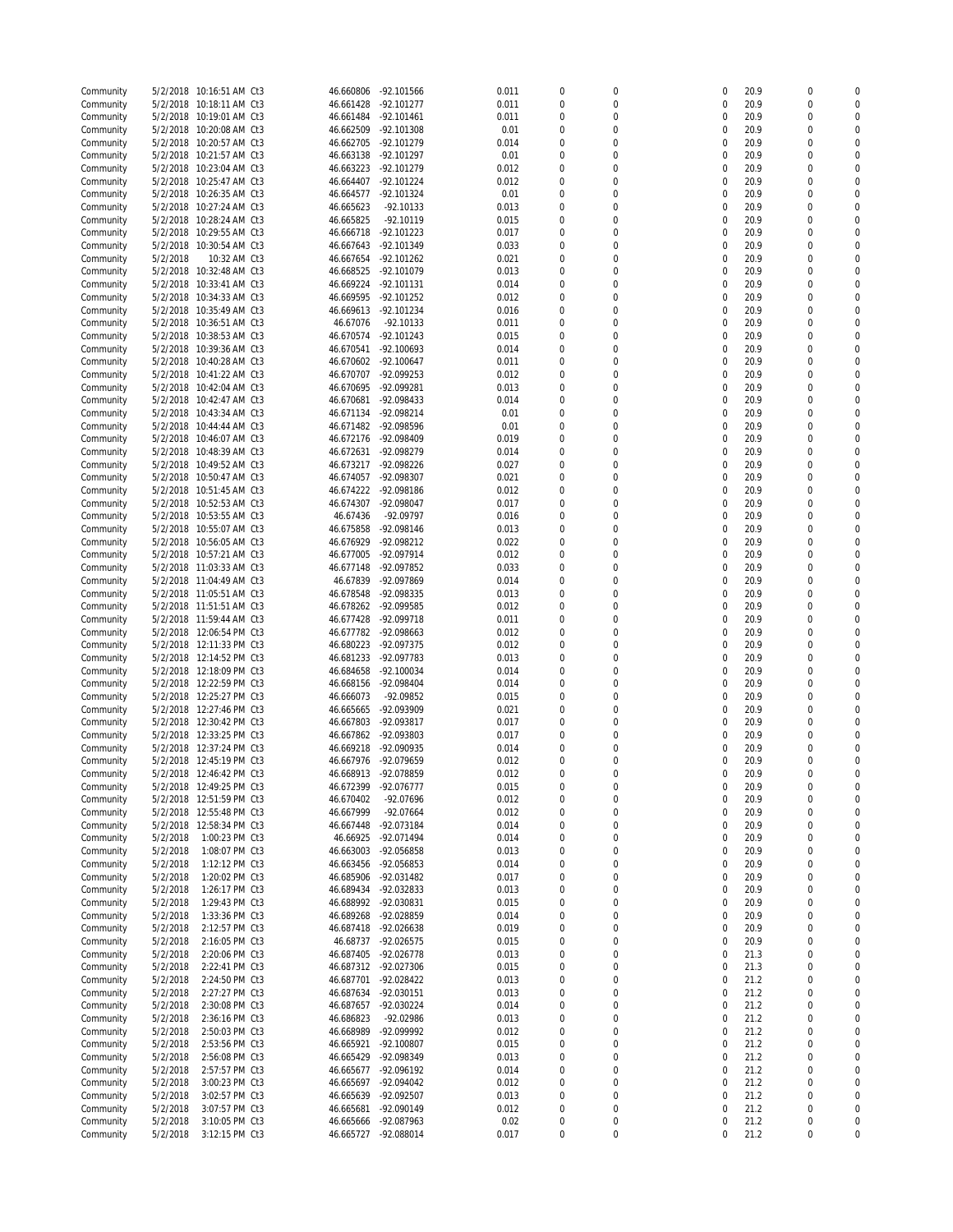| Community |          | 5/2/2018 10:16:51 AM Ct3 | 46.660806 | -92.101566   | 0.011 | $\mathbf 0$      | 0                | 0           | 20.9 | $\mathbf 0$      | $\Omega$     |
|-----------|----------|--------------------------|-----------|--------------|-------|------------------|------------------|-------------|------|------------------|--------------|
| Community | 5/2/2018 | 10:18:11 AM Ct3          | 46.661428 | $-92.101277$ | 0.011 | $\mathbf 0$      | 0                | 0           | 20.9 | $\mathbf 0$      | $\Omega$     |
| Community | 5/2/2018 | 10:19:01 AM Ct3          | 46.661484 | $-92.101461$ | 0.011 | $\mathbf 0$      | 0                | 0           | 20.9 | $\mathbf 0$      | 0            |
| Community | 5/2/2018 | 10:20:08 AM Ct3          | 46.662509 | -92.101308   | 0.01  | 0                | 0                | 0           | 20.9 | $\mathbf 0$      | $\mathbf 0$  |
| Community |          | 5/2/2018 10:20:57 AM Ct3 | 46.662705 | -92.101279   | 0.014 | $\mathbf 0$      | 0                | 0           | 20.9 | $\mathbf 0$      | $\Omega$     |
| Community | 5/2/2018 | 10:21:57 AM Ct3          | 46.663138 | -92.101297   | 0.01  | $\mathbf 0$      | 0                | 0           | 20.9 | $\mathbf 0$      | $\Omega$     |
| Community | 5/2/2018 | 10:23:04 AM Ct3          | 46.663223 | -92.101279   | 0.012 | $\boldsymbol{0}$ | $\mathbf 0$      | 0           | 20.9 | 0                | 0            |
|           |          | 5/2/2018 10:25:47 AM Ct3 |           |              |       | $\Omega$         | $\mathbf 0$      |             |      | $\mathbf 0$      | $\Omega$     |
| Community |          |                          | 46.664407 | -92.101224   | 0.012 |                  |                  | 0           | 20.9 |                  |              |
| Community | 5/2/2018 | 10:26:35 AM Ct3          | 46.664577 | -92.101324   | 0.01  | $\mathbf 0$      | $\mathbf 0$      | 0           | 20.9 | $\mathbf 0$      | $\Omega$     |
| Community |          | 5/2/2018 10:27:24 AM Ct3 | 46.665623 | -92.10133    | 0.013 | 0                | $\mathbf 0$      | 0           | 20.9 | $\mathbf 0$      | $\Omega$     |
| Community |          | 5/2/2018 10:28:24 AM Ct3 | 46.665825 | $-92.10119$  | 0.015 | $\mathbf 0$      | $\mathbf 0$      | 0           | 20.9 | $\mathbf 0$      | 0            |
| Community | 5/2/2018 | 10:29:55 AM Ct3          | 46.666718 | $-92.101223$ | 0.017 | 0                | 0                | 0           | 20.9 | $\mathbf 0$      | $\mathbf 0$  |
| Community |          | 5/2/2018 10:30:54 AM Ct3 | 46.667643 | -92.101349   | 0.033 | $\mathbf 0$      | 0                | 0           | 20.9 | $\mathbf 0$      | $\Omega$     |
| Community | 5/2/2018 | 10:32 AM Ct3             | 46.667654 | -92.101262   | 0.021 | $\mathbf 0$      | 0                | 0           | 20.9 | $\mathbf 0$      | $\Omega$     |
| Community | 5/2/2018 | 10:32:48 AM Ct3          | 46.668525 | -92.101079   | 0.013 | $\overline{0}$   | 0                | 0           | 20.9 | $\mathbf 0$      | $\Omega$     |
|           |          |                          |           |              |       |                  |                  |             |      |                  |              |
| Community | 5/2/2018 | 10:33:41 AM Ct3          | 46.669224 | -92.101131   | 0.014 | 0                | 0                | 0           | 20.9 | $\mathbf 0$      | $\mathbf 0$  |
| Community | 5/2/2018 | 10:34:33 AM Ct3          | 46.669595 | -92.101252   | 0.012 | $\mathbf 0$      | 0                | 0           | 20.9 | $\mathbf 0$      | $\Omega$     |
| Community |          | 5/2/2018 10:35:49 AM Ct3 | 46.669613 | -92.101234   | 0.016 | $\mathbf 0$      | 0                | 0           | 20.9 | 0                | $\Omega$     |
| Community |          | 5/2/2018 10:36:51 AM Ct3 | 46.67076  | $-92.10133$  | 0.011 | $\mathbf 0$      | $\mathbf 0$      | 0           | 20.9 | $\mathbf 0$      | $\Omega$     |
| Community | 5/2/2018 | 10:38:53 AM Ct3          | 46.670574 | $-92.101243$ | 0.015 | 0                | $\mathbf 0$      | 0           | 20.9 | $\mathbf 0$      | $\Omega$     |
| Community |          | 5/2/2018 10:39:36 AM Ct3 | 46.670541 | -92.100693   | 0.014 | $\Omega$         | $\mathbf 0$      | 0           | 20.9 | $\mathbf 0$      | $\Omega$     |
| Community | 5/2/2018 | 10:40:28 AM Ct3          | 46.670602 | $-92.100647$ | 0.011 | $\mathbf 0$      | 0                | $\mathbf 0$ | 20.9 | $\mathbf 0$      | $\Omega$     |
| Community | 5/2/2018 | 10:41:22 AM Ct3          | 46.670707 | -92.099253   | 0.012 | 0                | 0                | 0           | 20.9 | $\mathbf 0$      | $\Omega$     |
|           | 5/2/2018 |                          | 46.670695 | -92.099281   | 0.013 | $\mathbf 0$      | 0                | 0           | 20.9 | $\mathbf 0$      | 0            |
| Community |          | 10:42:04 AM Ct3          |           |              |       |                  |                  |             |      |                  |              |
| Community | 5/2/2018 | 10:42:47 AM Ct3          | 46.670681 | -92.098433   | 0.014 | 0                | $\Omega$         | $\mathbf 0$ | 20.9 | $\mathbf 0$      | $\Omega$     |
| Community | 5/2/2018 | 10:43:34 AM Ct3          | 46.671134 | -92.098214   | 0.01  | $\mathbf 0$      | 0                | 0           | 20.9 | $\mathbf 0$      | $\Omega$     |
| Community | 5/2/2018 | 10:44:44 AM Ct3          | 46.671482 | -92.098596   | 0.01  | $\mathbf 0$      | $\mathbf 0$      | 0           | 20.9 | $\mathbf 0$      | $\Omega$     |
| Community | 5/2/2018 | 10:46:07 AM Ct3          | 46.672176 | -92.098409   | 0.019 | $\overline{0}$   | $\mathbf 0$      | 0           | 20.9 | 0                | $\Omega$     |
| Community |          | 5/2/2018 10:48:39 AM Ct3 | 46.672631 | -92.098279   | 0.014 | $\Omega$         | $\Omega$         | 0           | 20.9 | $\mathbf 0$      | $\Omega$     |
| Community | 5/2/2018 | 10:49:52 AM Ct3          | 46.673217 | -92.098226   | 0.027 | $\mathbf 0$      | $\mathbf 0$      | 0           | 20.9 | $\mathbf 0$      | $\Omega$     |
| Community | 5/2/2018 | 10:50:47 AM Ct3          | 46.674057 | -92.098307   | 0.021 | 0                | $\mathbf 0$      | 0           | 20.9 | $\mathbf 0$      | $\Omega$     |
|           | 5/2/2018 |                          |           |              |       | $\mathbf 0$      | $\mathbf 0$      | 0           | 20.9 | $\mathbf 0$      | $\mathbf 0$  |
| Community |          | 10:51:45 AM Ct3          | 46.674222 | -92.098186   | 0.012 |                  |                  |             |      |                  |              |
| Community | 5/2/2018 | 10:52:53 AM Ct3          | 46.674307 | -92.098047   | 0.017 | 0                | 0                | $\mathbf 0$ | 20.9 | $\mathbf 0$      | $\mathbf 0$  |
| Community |          | 5/2/2018 10:53:55 AM Ct3 | 46.67436  | -92.09797    | 0.016 | $\mathbf 0$      | 0                | 0           | 20.9 | $\mathbf 0$      | $\Omega$     |
| Community | 5/2/2018 | 10:55:07 AM Ct3          | 46.675858 | -92.098146   | 0.013 | 0                | 0                | $\mathbf 0$ | 20.9 | $\mathbf 0$      | $\Omega$     |
| Community |          | 5/2/2018 10:56:05 AM Ct3 | 46.676929 | -92.098212   | 0.022 | $\boldsymbol{0}$ | 0                | 0           | 20.9 | $\mathbf 0$      | 0            |
| Community |          | 5/2/2018 10:57:21 AM Ct3 | 46.677005 | -92.097914   | 0.012 | 0                | 0                | 0           | 20.9 | $\mathbf 0$      | $\Omega$     |
| Community |          | 5/2/2018 11:03:33 AM Ct3 | 46.677148 | -92.097852   | 0.033 | $\mathbf 0$      | $\mathbf 0$      | $\mathbf 0$ | 20.9 | $\mathbf 0$      | $\Omega$     |
| Community |          | 5/2/2018 11:04:49 AM Ct3 | 46.67839  | -92.097869   | 0.014 | 0                | $\mathbf 0$      | 0           | 20.9 | 0                | $\Omega$     |
| Community |          | 5/2/2018 11:05:51 AM Ct3 | 46.678548 | -92.098335   | 0.013 | $\mathbf 0$      | $\mathbf 0$      | 0           | 20.9 | $\mathbf 0$      | $\Omega$     |
| Community |          | 5/2/2018 11:51:51 AM Ct3 | 46.678262 | -92.099585   | 0.012 | 0                | $\mathbf 0$      | 0           | 20.9 | $\mathbf 0$      | $\Omega$     |
|           |          |                          |           |              |       |                  |                  |             |      |                  |              |
| Community |          | 5/2/2018 11:59:44 AM Ct3 | 46.677428 | -92.099718   | 0.011 | $\mathbf 0$      | $\mathbf 0$      | 0           | 20.9 | $\mathbf 0$      | $\Omega$     |
| Community | 5/2/2018 | 12:06:54 PM Ct3          | 46.677782 | -92.098663   | 0.012 | $\mathbf 0$      | 0                | 0           | 20.9 | $\mathbf 0$      | $\Omega$     |
| Community | 5/2/2018 | 12:11:33 PM Ct3          | 46.680223 | -92.097375   | 0.012 | 0                | 0                | 0           | 20.9 | $\mathbf 0$      | $\Omega$     |
| Community | 5/2/2018 | 12:14:52 PM Ct3          | 46.681233 | -92.097783   | 0.013 | $\mathbf 0$      | 0                | 0           | 20.9 | $\mathbf 0$      | 0            |
| Community | 5/2/2018 | 12:18:09 PM Ct3          | 46.684658 | $-92.100034$ | 0.014 | 0                | $\Omega$         | 0           | 20.9 | $\mathbf 0$      | $\Omega$     |
| Community | 5/2/2018 | 12:22:59 PM Ct3          | 46.668156 | -92.098404   | 0.014 | $\mathbf 0$      | 0                | 0           | 20.9 | $\mathbf 0$      | $\Omega$     |
| Community | 5/2/2018 | 12:25:27 PM Ct3          | 46.666073 | -92.09852    | 0.015 | 0                | 0                | 0           | 20.9 | $\mathbf 0$      | $\Omega$     |
| Community | 5/2/2018 | 12:27:46 PM Ct3          | 46.665665 | -92.093909   | 0.021 | $\boldsymbol{0}$ | 0                | 0           | 20.9 | $\mathbf 0$      | $\mathbf 0$  |
|           |          | 5/2/2018 12:30:42 PM Ct3 |           |              |       | 0                | $\Omega$         |             |      | $\mathbf 0$      | $\Omega$     |
| Community |          |                          | 46.667803 | -92.093817   | 0.017 |                  |                  | 0           | 20.9 |                  |              |
| Community | 5/2/2018 | 12:33:25 PM Ct3          | 46.667862 | -92.093803   | 0.017 | $\mathbf 0$      | 0                | 0           | 20.9 | $\mathbf 0$      | $\Omega$     |
| Community | 5/2/2018 | 12:37:24 PM Ct3          | 46.669218 | -92.090935   | 0.014 | $\mathbf 0$      | 0                | 0           | 20.9 | 0                | $\mathbf{0}$ |
| Community | 5/2/2018 | 12:45:19 PM Ct3          | 46.667976 | -92.079659   | 0.012 | $\Omega$         | $\Omega$         | 0           | 20.9 | $\mathbf 0$      | 0            |
| Community |          | 5/2/2018 12:46:42 PM Ct3 | 46.668913 | -92.078859   | 0.012 | 0                | $\Omega$         | $\Omega$    | 20.9 | $\mathbf 0$      | $\mathbf 0$  |
| Community |          | 5/2/2018 12:49:25 PM Ct3 | 46.672399 | -92.076777   | 0.015 | $\overline{0}$   | $\boldsymbol{0}$ | $\bf 0$     | 20.9 | $\mathbf 0$      | $\bf 0$      |
| Community |          | 5/2/2018 12:51:59 PM Ct3 | 46.670402 | -92.07696    | 0.012 | $\mathbf 0$      | 0                | 0           | 20.9 | $\boldsymbol{0}$ | $\mathbf 0$  |
| Community |          | 5/2/2018 12:55:48 PM Ct3 | 46.667999 | $-92.07664$  | 0.012 | 0                | $\boldsymbol{0}$ | $\pmb{0}$   | 20.9 | 0                | O            |
| Community |          | 5/2/2018 12:58:34 PM Ct3 | 46.667448 | -92.073184   | 0.014 | 0                | 0                | $\mathbf 0$ | 20.9 | 0                | $\pmb{0}$    |
| Community | 5/2/2018 | 1:00:23 PM Ct3           | 46.66925  | -92.071494   | 0.014 | 0                | 0                | $\mathbf 0$ | 20.9 | $\boldsymbol{0}$ | 0            |
|           |          |                          | 46.663003 |              |       |                  |                  |             |      |                  |              |
| Community | 5/2/2018 | 1:08:07 PM Ct3           |           | -92.056858   | 0.013 | 0                | 0                | $\mathbf 0$ | 20.9 | 0                | $\mathbf 0$  |
| Community | 5/2/2018 | 1:12:12 PM Ct3           | 46.663456 | -92.056853   | 0.014 | 0                | 0                | 0           | 20.9 | 0                | 0            |
| Community | 5/2/2018 | 1:20:02 PM Ct3           | 46.685906 | -92.031482   | 0.017 | 0                | 0                | $\mathbf 0$ | 20.9 | 0                | $\mathbf 0$  |
| Community | 5/2/2018 | 1:26:17 PM Ct3           | 46.689434 | -92.032833   | 0.013 | 0                | 0                | $\mathbf 0$ | 20.9 | $\boldsymbol{0}$ | 0            |
| Community | 5/2/2018 | 1:29:43 PM Ct3           | 46.688992 | -92.030831   | 0.015 | 0                | 0                | $\mathbf 0$ | 20.9 | 0                | 0            |
| Community | 5/2/2018 | 1:33:36 PM Ct3           | 46.689268 | -92.028859   | 0.014 | 0                | 0                | 0           | 20.9 | $\boldsymbol{0}$ | 0            |
| Community | 5/2/2018 | 2:12:57 PM Ct3           | 46.687418 | -92.026638   | 0.019 | 0                | 0                | $\mathbf 0$ | 20.9 | 0                | $\pmb{0}$    |
| Community | 5/2/2018 | 2:16:05 PM Ct3           | 46.68737  | $-92.026575$ | 0.015 | 0                | 0                | $\mathbf 0$ | 20.9 | $\boldsymbol{0}$ | 0            |
| Community | 5/2/2018 | 2:20:06 PM Ct3           | 46.687405 | -92.026778   | 0.013 | $\mathbf 0$      | 0                | $\mathbf 0$ | 21.3 | $\boldsymbol{0}$ | $\mathbf 0$  |
|           |          |                          |           |              |       |                  |                  |             |      |                  | 0            |
| Community | 5/2/2018 | 2:22:41 PM Ct3           | 46.687312 | -92.027306   | 0.015 | 0                | 0                | $\mathbf 0$ | 21.3 | 0                |              |
| Community | 5/2/2018 | 2:24:50 PM Ct3           | 46.687701 | -92.028422   | 0.013 | $\boldsymbol{0}$ | 0                | $\mathbf 0$ | 21.2 | $\boldsymbol{0}$ | $\mathbf 0$  |
| Community | 5/2/2018 | 2:27:27 PM Ct3           | 46.687634 | -92.030151   | 0.013 | 0                | 0                | 0           | 21.2 | 0                | 0            |
| Community | 5/2/2018 | 2:30:08 PM Ct3           | 46.687657 | -92.030224   | 0.014 | $\overline{0}$   | 0                | 0           | 21.2 | $\boldsymbol{0}$ | $\mathbf 0$  |
| Community | 5/2/2018 | 2:36:16 PM Ct3           | 46.686823 | -92.02986    | 0.013 | 0                | 0                | 0           | 21.2 | 0                | 0            |
| Community | 5/2/2018 | 2:50:03 PM Ct3           | 46.668989 | -92.099992   | 0.012 | 0                | 0                | 0           | 21.2 | 0                | $\mathbf 0$  |
| Community | 5/2/2018 | 2:53:56 PM Ct3           | 46.665921 | -92.100807   | 0.015 | 0                | 0                | 0           | 21.2 | 0                | 0            |
| Community | 5/2/2018 | 2:56:08 PM Ct3           | 46.665429 | -92.098349   | 0.013 | $\mathbf 0$      | 0                | 0           | 21.2 | $\boldsymbol{0}$ | 0            |
| Community | 5/2/2018 | 2:57:57 PM Ct3           | 46.665677 | -92.096192   | 0.014 | 0                | 0                | 0           | 21.2 | 0                | 0            |
| Community | 5/2/2018 | 3:00:23 PM Ct3           | 46.665697 | -92.094042   | 0.012 | 0                | 0                | 0           | 21.2 | $\boldsymbol{0}$ | 0            |
|           |          |                          |           |              |       | 0                | 0                | 0           |      |                  | 0            |
| Community | 5/2/2018 | 3:02:57 PM Ct3           | 46.665639 | -92.092507   | 0.013 |                  |                  |             | 21.2 | 0                |              |
| Community | 5/2/2018 | 3:07:57 PM Ct3           | 46.665681 | -92.090149   | 0.012 | 0                | $\boldsymbol{0}$ | 0           | 21.2 | $\boldsymbol{0}$ | 0            |
| Community | 5/2/2018 | 3:10:05 PM Ct3           | 46.665666 | -92.087963   | 0.02  | 0                | $\bf{0}$         | $\mathbf 0$ | 21.2 | 0                | $\pmb{0}$    |
| Community | 5/2/2018 | 3:12:15 PM Ct3           | 46.665727 | -92.088014   | 0.017 | $\boldsymbol{0}$ | $\boldsymbol{0}$ | 0           | 21.2 | $\boldsymbol{0}$ | $\,0\,$      |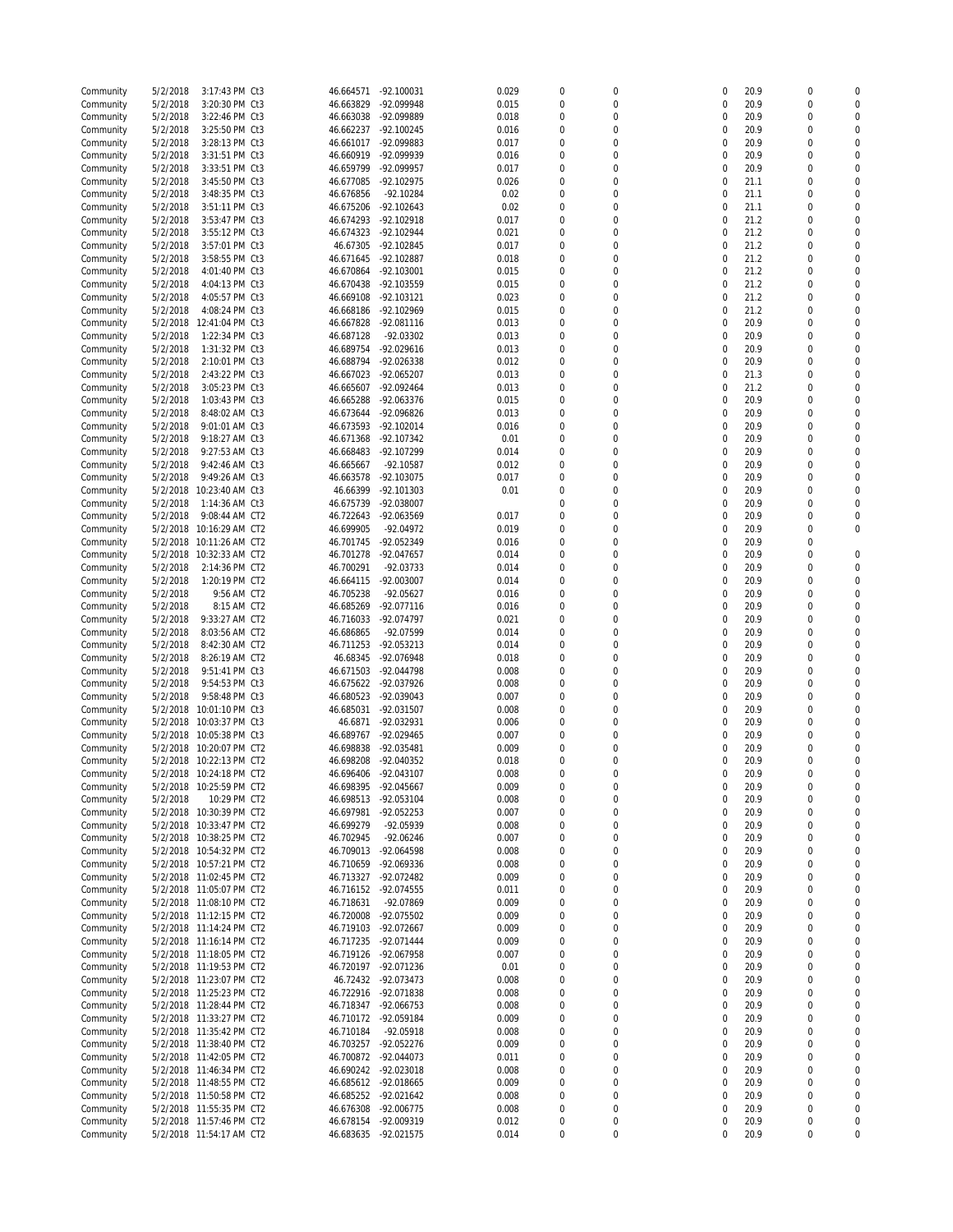| Community | 5/2/2018 | 3:17:43 PM Ct3           | 46.664571 | $-92.100031$ | 0.029 | $\mathbf 0$      | 0              | $\Omega$    | 20.9 | $\mathbf 0$      | 0           |
|-----------|----------|--------------------------|-----------|--------------|-------|------------------|----------------|-------------|------|------------------|-------------|
| Community | 5/2/2018 | 3:20:30 PM Ct3           | 46.663829 | -92.099948   | 0.015 | $\mathbf 0$      | 0              | $\mathbf 0$ | 20.9 | $\mathbf 0$      | $\mathbf 0$ |
| Community | 5/2/2018 | 3:22:46 PM Ct3           | 46.663038 | -92.099889   | 0.018 | $\mathbf 0$      | 0              | 0           | 20.9 | $\mathbf 0$      | $\Omega$    |
| Community | 5/2/2018 | 3:25:50 PM Ct3           | 46.662237 | $-92.100245$ | 0.016 | 0                | 0              | $\mathbf 0$ | 20.9 | $\mathbf 0$      | $\mathbf 0$ |
| Community | 5/2/2018 | 3:28:13 PM Ct3           | 46.661017 | -92.099883   | 0.017 | $\mathbf 0$      | 0              | $\mathbf 0$ | 20.9 | $\mathbf 0$      | $\Omega$    |
| Community | 5/2/2018 | 3:31:51 PM Ct3           | 46.660919 | -92.099939   | 0.016 | 0                | 0              | $\mathbf 0$ | 20.9 | $\mathbf 0$      | $\Omega$    |
| Community | 5/2/2018 | 3:33:51 PM Ct3           | 46.659799 | -92.099957   | 0.017 | $\boldsymbol{0}$ | 0              | 0           | 20.9 | $\mathbf 0$      | $\Omega$    |
| Community | 5/2/2018 | 3:45:50 PM Ct3           | 46.677085 | $-92.102975$ | 0.026 | 0                | 0              | $\mathbf 0$ | 21.1 | $\mathbf 0$      | $\mathbf 0$ |
|           | 5/2/2018 |                          | 46.676856 |              | 0.02  | $\overline{0}$   | 0              | $\mathbf 0$ | 21.1 | $\mathbf 0$      | $\Omega$    |
| Community |          | 3:48:35 PM Ct3           |           | -92.10284    |       |                  |                |             |      |                  |             |
| Community | 5/2/2018 | 3:51:11 PM Ct3           | 46.675206 | $-92.102643$ | 0.02  | 0                | 0              | $\mathbf 0$ | 21.1 | $\mathbf 0$      | $\mathbf 0$ |
| Community | 5/2/2018 | 3:53:47 PM Ct3           | 46.674293 | $-92.102918$ | 0.017 | 0                | 0              | $\mathbf 0$ | 21.2 | $\mathbf 0$      | $\Omega$    |
| Community | 5/2/2018 | 3:55:12 PM Ct3           | 46.674323 | -92.102944   | 0.021 | $\overline{0}$   | $\overline{0}$ | 0           | 21.2 | $\mathbf 0$      | $\mathbf 0$ |
| Community | 5/2/2018 | 3:57:01 PM Ct3           | 46.67305  | -92.102845   | 0.017 | $\Omega$         | $\Omega$       | $\Omega$    | 21.2 | $\mathbf 0$      | $\Omega$    |
| Community | 5/2/2018 | 3:58:55 PM Ct3           | 46.671645 | -92.102887   | 0.018 | $\overline{0}$   | 0              | 0           | 21.2 | $\mathbf 0$      | $\Omega$    |
| Community | 5/2/2018 | 4:01:40 PM Ct3           | 46.670864 | -92.103001   | 0.015 | 0                | 0              | 0           | 21.2 | $\mathbf 0$      | $\Omega$    |
| Community | 5/2/2018 | 4:04:13 PM Ct3           | 46.670438 | -92.103559   | 0.015 | $\overline{0}$   | 0              | 0           | 21.2 | $\mathbf 0$      | 0           |
| Community | 5/2/2018 | 4:05:57 PM Ct3           | 46.669108 | -92.103121   | 0.023 | 0                | $\Omega$       | $\mathbf 0$ | 21.2 | $\mathbf 0$      | $\Omega$    |
| Community | 5/2/2018 | 4:08:24 PM Ct3           | 46.668186 | -92.102969   | 0.015 | $\overline{0}$   | $\mathbf 0$    | 0           | 21.2 | $\mathbf 0$      | $\Omega$    |
| Community | 5/2/2018 | 12:41:04 PM Ct3          | 46.667828 | -92.081116   | 0.013 | 0                | 0              | 0           | 20.9 | $\mathbf 0$      | $\Omega$    |
| Community | 5/2/2018 | 1:22:34 PM Ct3           | 46.687128 | -92.03302    | 0.013 | $\boldsymbol{0}$ | 0              | 0           | 20.9 | $\mathbf 0$      | $\mathbf 0$ |
| Community | 5/2/2018 | 1:31:32 PM Ct3           | 46.689754 | -92.029616   | 0.013 | 0                | $\Omega$       | 0           | 20.9 | $\mathbf 0$      | $\Omega$    |
|           | 5/2/2018 | 2:10:01 PM Ct3           | 46.688794 | -92.026338   | 0.012 | $\overline{0}$   | 0              | $\mathbf 0$ | 20.9 | $\mathbf 0$      | $\Omega$    |
| Community |          |                          |           |              |       |                  |                |             |      |                  |             |
| Community | 5/2/2018 | 2:43:22 PM Ct3           | 46.667023 | -92.065207   | 0.013 | 0                | 0              | 0           | 21.3 | $\mathbf 0$      | $\mathbf 0$ |
| Community | 5/2/2018 | 3:05:23 PM Ct3           | 46.665607 | -92.092464   | 0.013 | $\mathbf 0$      | 0              | 0           | 21.2 | $\mathbf 0$      | $\Omega$    |
| Community | 5/2/2018 | 1:03:43 PM Ct3           | 46.665288 | -92.063376   | 0.015 | 0                | 0              | 0           | 20.9 | $\mathbf 0$      | $\mathbf 0$ |
| Community | 5/2/2018 | 8:48:02 AM Ct3           | 46.673644 | -92.096826   | 0.013 | $\mathbf 0$      | 0              | 0           | 20.9 | $\mathbf 0$      | $\Omega$    |
| Community | 5/2/2018 | 9:01:01 AM Ct3           | 46.673593 | $-92.102014$ | 0.016 | 0                | 0              | 0           | 20.9 | $\mathbf 0$      | $\Omega$    |
| Community | 5/2/2018 | 9:18:27 AM Ct3           | 46.671368 | -92.107342   | 0.01  | $\boldsymbol{0}$ | 0              | 0           | 20.9 | 0                | $\Omega$    |
| Community | 5/2/2018 | 9:27:53 AM Ct3           | 46.668483 | -92.107299   | 0.014 | 0                | 0              | 0           | 20.9 | $\mathbf 0$      | $\Omega$    |
| Community | 5/2/2018 | 9:42:46 AM Ct3           | 46.665667 | -92.10587    | 0.012 | $\overline{0}$   | $\mathbf 0$    | 0           | 20.9 | 0                | $\Omega$    |
| Community | 5/2/2018 | 9:49:26 AM Ct3           | 46.663578 | -92.103075   | 0.017 | $\mathbf 0$      | $\mathbf 0$    | 0           | 20.9 | 0                | $\Omega$    |
| Community | 5/2/2018 | 10:23:40 AM Ct3          | 46.66399  | -92.101303   | 0.01  | $\mathbf 0$      | $\mathbf 0$    | 0           | 20.9 | $\mathbf 0$      | $\Omega$    |
| Community | 5/2/2018 | 1:14:36 AM Ct3           | 46.675739 | -92.038007   |       | $\overline{0}$   | $\mathbf 0$    | 0           | 20.9 | $\mathbf 0$      | $\mathbf 0$ |
| Community | 5/2/2018 | 9:08:44 AM CT2           | 46.722643 | -92.063569   | 0.017 | $\Omega$         | $\Omega$       | $\mathbf 0$ | 20.9 | $\mathbf 0$      | $\Omega$    |
| Community | 5/2/2018 | 10:16:29 AM CT2          | 46.699905 | -92.04972    | 0.019 | $\overline{0}$   | 0              | $\mathbf 0$ | 20.9 | $\mathbf 0$      | $\mathbf 0$ |
| Community | 5/2/2018 | 10:11:26 AM CT2          | 46.701745 | -92.052349   | 0.016 | 0                | 0              | 0           | 20.9 | $\mathbf 0$      |             |
|           |          |                          |           |              |       | $\mathbf 0$      | 0              | 0           | 20.9 | 0                | 0           |
| Community | 5/2/2018 | 10:32:33 AM CT2          | 46.701278 | -92.047657   | 0.014 | $\Omega$         | $\Omega$       |             |      |                  | $\Omega$    |
| Community | 5/2/2018 | 2:14:36 PM CT2           | 46.700291 | -92.03733    | 0.014 |                  |                | $\mathbf 0$ | 20.9 | $\mathbf 0$      |             |
| Community | 5/2/2018 | 1:20:19 PM CT2           | 46.664115 | -92.003007   | 0.014 | $\overline{0}$   | 0              | 0           | 20.9 | $\mathbf 0$      | 0           |
| Community | 5/2/2018 | 9:56 AM CT2              | 46.705238 | $-92.05627$  | 0.016 | $\mathbf 0$      | 0              | 0           | 20.9 | 0                | $\Omega$    |
| Community | 5/2/2018 | 8:15 AM CT2              | 46.685269 | -92.077116   | 0.016 | $\overline{0}$   | 0              | 0           | 20.9 | 0                | $\Omega$    |
| Community | 5/2/2018 | 9:33:27 AM CT2           | 46.716033 | -92.074797   | 0.021 | $\Omega$         | $\Omega$       | 0           | 20.9 | $\mathbf 0$      | $\Omega$    |
| Community | 5/2/2018 | 8:03:56 AM CT2           | 46.686865 | -92.07599    | 0.014 | $\overline{0}$   | 0              | $\mathbf 0$ | 20.9 | $\mathbf 0$      | 0           |
| Community | 5/2/2018 | 8:42:30 AM CT2           | 46.711253 | -92.053213   | 0.014 | 0                | 0              | $\mathbf 0$ | 20.9 | $\mathbf 0$      | $\Omega$    |
| Community | 5/2/2018 | 8:26:19 AM CT2           | 46.68345  | -92.076948   | 0.018 | $\mathbf 0$      | 0              | 0           | 20.9 | $\mathbf 0$      | $\Omega$    |
| Community | 5/2/2018 | 9:51:41 PM Ct3           | 46.671503 | -92.044798   | 0.008 | 0                | 0              | $\mathbf 0$ | 20.9 | $\mathbf 0$      | $\mathbf 0$ |
| Community | 5/2/2018 | 9:54:53 PM Ct3           | 46.675622 | -92.037926   | 0.008 | $\mathbf 0$      | 0              | $\mathbf 0$ | 20.9 | $\mathbf 0$      | $\Omega$    |
| Community | 5/2/2018 | 9:58:48 PM Ct3           | 46.680523 | -92.039043   | 0.007 | 0                | 0              | $\mathbf 0$ | 20.9 | $\mathbf 0$      | $\Omega$    |
| Community | 5/2/2018 | 10:01:10 PM Ct3          | 46.685031 | -92.031507   | 0.008 | $\boldsymbol{0}$ | 0              | 0           | 20.9 | $\mathbf 0$      | $\Omega$    |
| Community | 5/2/2018 | 10:03:37 PM Ct3          | 46.6871   | -92.032931   | 0.006 | 0                | 0              | $\mathbf 0$ | 20.9 | $\mathbf 0$      | $\mathbf 0$ |
|           |          |                          |           |              |       | $\mathbf 0$      | 0              | $\mathbf 0$ |      | $\mathbf 0$      | $\Omega$    |
| Community | 5/2/2018 | 10:05:38 PM Ct3          | 46.689767 | -92.029465   | 0.007 |                  |                |             | 20.9 |                  |             |
| Community | 5/2/2018 | 10:20:07 PM CT2          | 46.698838 | -92.035481   | 0.009 | $\mathbf 0$      | 0              | $\mathbf 0$ | 20.9 | $\mathbf 0$      | $\mathbf 0$ |
| Community | 5/2/2018 | 10:22:13 PM CT2          | 46.698208 | -92.040352   | 0.018 | $\mathbf 0$      | 0              | 0           | 20.9 | $\mathbf 0$      | 0           |
| Community |          | 5/2/2018 10:24:18 PM CT2 | 46.696406 | -92.043107   | 0.008 | 0                | $\mathbf{0}$   | $\mathbf 0$ | 20.9 | $\mathbf 0$      | $\mathbf 0$ |
| Community |          | 5/2/2018 10:25:59 PM CT2 | 46.698395 | -92.045667   | 0.009 | 0                | 0              | 0           | 20.9 | 0                | 0           |
| Community | 5/2/2018 | 10:29 PM CT2             | 46.698513 | -92.053104   | 0.008 | $\overline{0}$   | 0              | 0           | 20.9 | $\boldsymbol{0}$ | 0           |
| Community |          | 5/2/2018 10:30:39 PM CT2 | 46.697981 | $-92.052253$ | 0.007 | 0                | 0              | 0           | 20.9 | 0                | 0           |
| Community | 5/2/2018 | 10:33:47 PM CT2          | 46.699279 | -92.05939    | 0.008 | $\mathbf 0$      | 0              | 0           | 20.9 | $\mathbf 0$      | 0           |
| Community | 5/2/2018 | 10:38:25 PM CT2          | 46.702945 | $-92.06246$  | 0.007 | 0                | 0              | 0           | 20.9 | $\mathbf 0$      | 0           |
| Community |          | 5/2/2018 10:54:32 PM CT2 | 46.709013 | -92.064598   | 0.008 | $\mathbf 0$      | 0              | 0           | 20.9 | $\mathbf 0$      | 0           |
| Community |          | 5/2/2018 10:57:21 PM CT2 | 46.710659 | -92.069336   | 0.008 | 0                | 0              | 0           | 20.9 | 0                | 0           |
| Community |          | 5/2/2018 11:02:45 PM CT2 | 46.713327 | -92.072482   | 0.009 | $\boldsymbol{0}$ | 0              | 0           | 20.9 | 0                | 0           |
| Community |          | 5/2/2018 11:05:07 PM CT2 | 46.716152 | -92.074555   | 0.011 | 0                | 0              | $\mathbf 0$ | 20.9 | $\mathbf 0$      | $\mathbf 0$ |
| Community |          | 5/2/2018 11:08:10 PM CT2 | 46.718631 | -92.07869    | 0.009 | $\mathbf 0$      | 0              | $\mathbf 0$ | 20.9 | $\mathbf 0$      | 0           |
| Community |          | 5/2/2018 11:12:15 PM CT2 | 46.720008 | -92.075502   | 0.009 | 0                | 0              | $\mathbf 0$ | 20.9 | 0                | $\Omega$    |
| Community |          | 5/2/2018 11:14:24 PM CT2 | 46.719103 | -92.072667   | 0.009 | 0                | 0              | $\mathbf 0$ | 20.9 | $\mathbf 0$      | $\mathbf 0$ |
| Community |          | 5/2/2018 11:16:14 PM CT2 | 46.717235 | -92.071444   | 0.009 | 0                | 0              | $\mathbf 0$ | 20.9 | $\mathbf 0$      | $\mathbf 0$ |
| Community |          | 5/2/2018 11:18:05 PM CT2 | 46.719126 | -92.067958   | 0.007 | $\mathbf 0$      | 0              | $\mathbf 0$ | 20.9 | 0                | 0           |
|           |          | 5/2/2018 11:19:53 PM CT2 | 46.720197 | -92.071236   | 0.01  | 0                | 0              | $\mathbf 0$ | 20.9 | $\mathbf 0$      | $\mathbf 0$ |
| Community |          |                          |           |              |       |                  |                |             |      |                  |             |
| Community |          | 5/2/2018 11:23:07 PM CT2 | 46.72432  | -92.073473   | 0.008 | 0                | 0              | 0           | 20.9 | 0                | 0           |
| Community |          | 5/2/2018 11:25:23 PM CT2 | 46.722916 | -92.071838   | 0.008 | 0                | 0              | $\mathbf 0$ | 20.9 | $\mathbf 0$      | $\mathbf 0$ |
| Community |          | 5/2/2018 11:28:44 PM CT2 | 46.718347 | -92.066753   | 0.008 | 0                | 0              | $\mathbf 0$ | 20.9 | 0                | 0           |
| Community |          | 5/2/2018 11:33:27 PM CT2 | 46.710172 | -92.059184   | 0.009 | 0                | 0              | $\mathbf 0$ | 20.9 | $\mathbf 0$      | $\mathbf 0$ |
| Community |          | 5/2/2018 11:35:42 PM CT2 | 46.710184 | -92.05918    | 0.008 | 0                | 0              | 0           | 20.9 | 0                | 0           |
| Community |          | 5/2/2018 11:38:40 PM CT2 | 46.703257 | -92.052276   | 0.009 | 0                | 0              | $\mathbf 0$ | 20.9 | $\mathbf 0$      | $\mathbf 0$ |
| Community |          | 5/2/2018 11:42:05 PM CT2 | 46.700872 | -92.044073   | 0.011 | 0                | 0              | 0           | 20.9 | 0                | 0           |
| Community |          | 5/2/2018 11:46:34 PM CT2 | 46.690242 | -92.023018   | 0.008 | 0                | 0              | 0           | 20.9 | $\mathbf 0$      | 0           |
| Community |          | 5/2/2018 11:48:55 PM CT2 | 46.685612 | -92.018665   | 0.009 | 0                | 0              | 0           | 20.9 | $\mathbf 0$      | $\mathbf 0$ |
| Community |          | 5/2/2018 11:50:58 PM CT2 | 46.685252 | -92.021642   | 0.008 | $\mathbf 0$      | 0              | 0           | 20.9 | $\mathbf 0$      | 0           |
| Community |          | 5/2/2018 11:55:35 PM CT2 | 46.676308 | -92.006775   | 0.008 | 0                | 0              | 0           | 20.9 | $\mathbf 0$      | 0           |
| Community |          | 5/2/2018 11:57:46 PM CT2 | 46.678154 | -92.009319   | 0.012 | $\mathbf 0$      | $\mathbf 0$    | 0           | 20.9 | 0                | 0           |
|           |          |                          |           |              |       |                  |                |             |      |                  |             |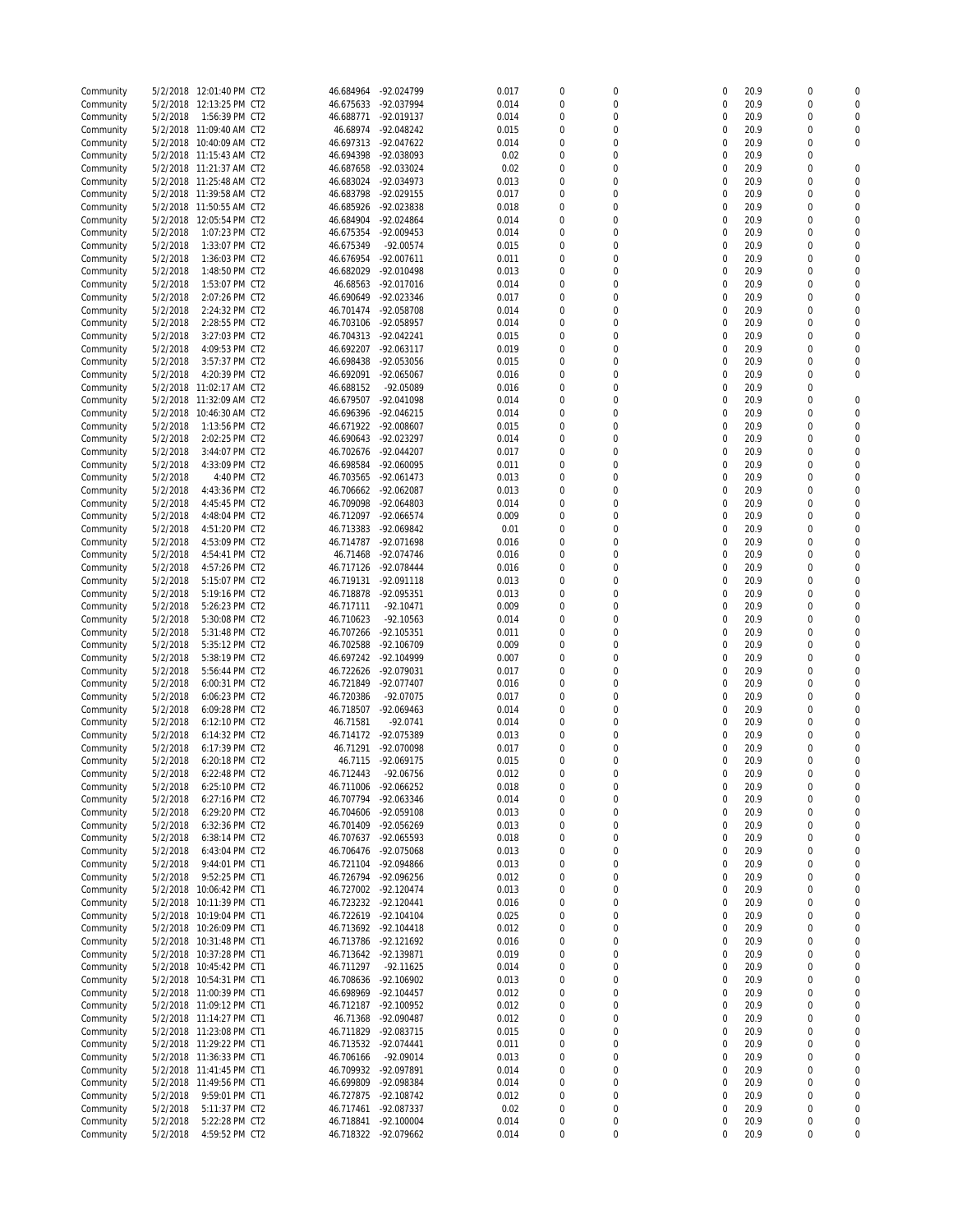| Community              |                      | 5/2/2018 12:01:40 PM CT2         | 46.684964              | -92.024799                 | 0.017          | $\mathbf 0$      | 0                            | 0                | 20.9         | $\mathbf 0$           | 0                        |
|------------------------|----------------------|----------------------------------|------------------------|----------------------------|----------------|------------------|------------------------------|------------------|--------------|-----------------------|--------------------------|
| Community              | 5/2/2018             | 12:13:25 PM CT2                  | 46.675633              | -92.037994                 | 0.014          | $\mathbf 0$      | 0                            | 0                | 20.9         | $\mathbf 0$           | $\Omega$                 |
| Community              | 5/2/2018             | 1:56:39 PM CT2                   | 46.688771              | -92.019137                 | 0.014          | $\mathbf 0$      | 0                            | 0                | 20.9         | $\mathbf 0$           | 0                        |
| Community              |                      | 5/2/2018 11:09:40 AM CT2         | 46.68974               | -92.048242                 | 0.015          | 0                | 0                            | $\mathbf 0$      | 20.9         | $\mathbf 0$           | 0                        |
| Community              |                      | 5/2/2018 10:40:09 AM CT2         | 46.697313              | -92.047622                 | 0.014          | $\overline{0}$   | 0                            | 0                | 20.9         | $\mathbf 0$           | $\mathbf 0$              |
| Community              |                      | 5/2/2018 11:15:43 AM CT2         | 46.694398              | -92.038093                 | 0.02           | $\mathbf 0$      | 0                            | 0                | 20.9         | $\mathbf 0$           |                          |
| Community              |                      | 5/2/2018 11:21:37 AM CT2         | 46.687658              | -92.033024                 | 0.02           | $\boldsymbol{0}$ | 0                            | 0                | 20.9         | $\mathbf 0$           | $\mathbf 0$              |
| Community              |                      | 5/2/2018 11:25:48 AM CT2         | 46.683024              | -92.034973                 | 0.013          | $\Omega$         | $\Omega$                     | 0                | 20.9         | $\mathbf 0$           | $\Omega$                 |
|                        |                      |                                  |                        |                            |                | $\overline{0}$   |                              |                  |              | $\mathbf 0$           | $\Omega$                 |
| Community              |                      | 5/2/2018 11:39:58 AM CT2         | 46.683798              | -92.029155                 | 0.017          |                  | 0                            | 0                | 20.9         |                       |                          |
| Community              |                      | 5/2/2018 11:50:55 AM CT2         | 46.685926              | -92.023838                 | 0.018          | 0                | $\mathbf 0$                  | 0                | 20.9         | 0                     | $\Omega$                 |
| Community              | 5/2/2018             | 12:05:54 PM CT2                  | 46.684904              | $-92.024864$               | 0.014          | $\overline{0}$   | $\mathbf 0$                  | 0                | 20.9         | $\mathbf 0$           | 0                        |
| Community              | 5/2/2018             | 1:07:23 PM CT2                   | 46.675354              | -92.009453                 | 0.014          | 0                | 0                            | 0                | 20.9         | $\mathbf 0$           | $\mathbf 0$              |
| Community              | 5/2/2018             | 1:33:07 PM CT2                   | 46.675349              | -92.00574                  | 0.015          | $\mathbf 0$      | 0                            | 0                | 20.9         | $\mathbf 0$           | $\Omega$                 |
| Community              | 5/2/2018             | 1:36:03 PM CT2                   | 46.676954              | $-92.007611$               | 0.011          | 0                | 0                            | 0                | 20.9         | $\mathbf 0$           | $\Omega$                 |
| Community              | 5/2/2018             | 1:48:50 PM CT2                   | 46.682029              | -92.010498                 | 0.013          | $\overline{0}$   | 0                            | 0                | 20.9         | $\mathbf 0$           | $\Omega$                 |
| Community              | 5/2/2018             | 1:53:07 PM CT2                   | 46.68563               | -92.017016                 | 0.014          | 0                | 0                            | 0                | 20.9         | $\mathbf 0$           | $\mathbf 0$              |
| Community              | 5/2/2018             | 2:07:26 PM CT2                   | 46.690649              | -92.023346                 | 0.017          | $\overline{0}$   | 0                            | $\mathbf 0$      | 20.9         | $\mathbf 0$           | $\Omega$                 |
| Community              |                      |                                  |                        |                            |                | $\mathbf 0$      | 0                            | 0                |              | $\mathbf 0$           | $\Omega$                 |
|                        | 5/2/2018             | 2:24:32 PM CT2                   | 46.701474              | -92.058708                 | 0.014          |                  |                              |                  | 20.9         |                       |                          |
| Community              | 5/2/2018             | 2:28:55 PM CT2                   | 46.703106              | -92.058957                 | 0.014          | $\mathbf 0$      | 0                            | 0                | 20.9         | $\mathbf 0$           | $\Omega$                 |
| Community              | 5/2/2018             | 3:27:03 PM CT2                   | 46.704313              | -92.042241                 | 0.015          | 0                | 0                            | 0                | 20.9         | $\mathbf 0$           | $\mathbf 0$              |
| Community              | 5/2/2018             | 4:09:53 PM CT2                   | 46.692207              | -92.063117                 | 0.019          | $\Omega$         | 0                            | 0                | 20.9         | $\mathbf 0$           | $\Omega$                 |
| Community              | 5/2/2018             | 3:57:37 PM CT2                   | 46.698438              | -92.053056                 | 0.015          | $\overline{0}$   | $\mathbf 0$                  | 0                | 20.9         | $\mathbf 0$           | 0                        |
| Community              | 5/2/2018             | 4:20:39 PM CT2                   | 46.692091              | -92.065067                 | 0.016          | 0                | 0                            | 0                | 20.9         | $\mathbf 0$           | $\Omega$                 |
| Community              | 5/2/2018             | 11:02:17 AM CT2                  | 46.688152              | -92.05089                  | 0.016          | $\mathbf 0$      | 0                            | 0                | 20.9         | $\mathbf 0$           |                          |
| Community              | 5/2/2018             | 11:32:09 AM CT2                  | 46.679507              | -92.041098                 | 0.014          | $\Omega$         | $\Omega$                     | $\mathbf 0$      | 20.9         | $\mathbf 0$           | $\Omega$                 |
| Community              | 5/2/2018             | 10:46:30 AM CT2                  | 46.696396              | $-92.046215$               | 0.014          | $\overline{0}$   | 0                            | 0                | 20.9         | $\mathbf 0$           | $\Omega$                 |
| Community              | 5/2/2018             | 1:13:56 PM CT2                   | 46.671922              | -92.008607                 | 0.015          | $\mathbf 0$      | 0                            | 0                | 20.9         | $\mathbf 0$           | $\Omega$                 |
|                        |                      |                                  |                        |                            |                |                  |                              |                  |              |                       |                          |
| Community              | 5/2/2018             | 2:02:25 PM CT2                   | 46.690643              | -92.023297                 | 0.014          | $\boldsymbol{0}$ | 0                            | 0                | 20.9         | $\mathbf 0$           | $\mathbf 0$              |
| Community              | 5/2/2018             | 3:44:07 PM CT2                   | 46.702676              | -92.044207                 | 0.017          | $\Omega$         | $\Omega$                     | 0                | 20.9         | $\mathbf 0$           | $\Omega$                 |
| Community              | 5/2/2018             | 4:33:09 PM CT2                   | 46.698584              | -92.060095                 | 0.011          | $\overline{0}$   | 0                            | 0                | 20.9         | $\mathbf 0$           | $\Omega$                 |
| Community              | 5/2/2018             | 4:40 PM CT2                      | 46.703565              | -92.061473                 | 0.013          | 0                | 0                            | 0                | 20.9         | $\mathbf 0$           | $\Omega$                 |
| Community              | 5/2/2018             | 4:43:36 PM CT2                   | 46.706662              | -92.062087                 | 0.013          | $\overline{0}$   | 0                            | 0                | 20.9         | 0                     | 0                        |
| Community              | 5/2/2018             | 4:45:45 PM CT2                   | 46.709098              | -92.064803                 | 0.014          | 0                | 0                            | 0                | 20.9         | $\mathbf 0$           | $\mathbf 0$              |
| Community              | 5/2/2018             | 4:48:04 PM CT2                   | 46.712097              | -92.066574                 | 0.009          | $\mathbf 0$      | 0                            | 0                | 20.9         | $\mathbf 0$           | $\Omega$                 |
| Community              | 5/2/2018             | 4:51:20 PM CT2                   | 46.713383              | -92.069842                 | 0.01           | 0                | 0                            | 0                | 20.9         | $\mathbf 0$           | $\Omega$                 |
| Community              | 5/2/2018             | 4:53:09 PM CT2                   | 46.714787              | -92.071698                 | 0.016          | $\boldsymbol{0}$ | $\mathbf 0$                  | 0                | 20.9         | $\mathbf 0$           | $\Omega$                 |
|                        |                      |                                  |                        |                            | 0.016          | 0                | 0                            | $\mathbf 0$      | 20.9         | $\mathbf 0$           | $\mathbf 0$              |
| Community              | 5/2/2018             | 4:54:41 PM CT2                   | 46.71468               | -92.074746                 |                |                  |                              |                  |              |                       |                          |
| Community              | 5/2/2018             | 4:57:26 PM CT2                   | 46.717126              | $-92.078444$               | 0.016          | $\mathbf 0$      | 0                            | $\mathbf 0$      | 20.9         | $\mathbf 0$           | $\Omega$                 |
| Community              | 5/2/2018             | 5:15:07 PM CT2                   | 46.719131              | -92.091118                 | 0.013          | 0                | 0                            | $\mathbf 0$      | 20.9         | $\mathbf 0$           | $\mathbf 0$              |
| Community              | 5/2/2018             | 5:19:16 PM CT2                   | 46.718878              | -92.095351                 | 0.013          | $\mathbf 0$      | 0                            | 0                | 20.9         | $\mathbf 0$           | $\Omega$                 |
| Community              | 5/2/2018             | 5:26:23 PM CT2                   | 46.717111              | $-92.10471$                | 0.009          | 0                | 0                            | $\mathbf 0$      | 20.9         | $\mathbf 0$           | $\mathbf 0$              |
| Community              | 5/2/2018             | 5:30:08 PM CT2                   | 46.710623              | $-92.10563$                | 0.014          | $\mathbf 0$      | 0                            | $\mathbf 0$      | 20.9         | $\mathbf 0$           | $\Omega$                 |
| Community              | 5/2/2018             | 5:31:48 PM CT2                   | 46.707266              | -92.105351                 | 0.011          | $\mathbf 0$      | 0                            | $\mathbf 0$      | 20.9         | $\mathbf 0$           | $\Omega$                 |
| Community              | 5/2/2018             | 5:35:12 PM CT2                   | 46.702588              | -92.106709                 | 0.009          | $\boldsymbol{0}$ | 0                            | $\mathbf 0$      | 20.9         | $\mathbf 0$           | $\Omega$                 |
| Community              | 5/2/2018             | 5:38:19 PM CT2                   | 46.697242              | -92.104999                 | 0.007          | $\overline{0}$   | $\overline{0}$               | $\mathbf 0$      | 20.9         | $\mathbf 0$           | $\mathbf 0$              |
|                        | 5/2/2018             | 5:56:44 PM CT2                   | 46.722626              | -92.079031                 | 0.017          | $\Omega$         | $\Omega$                     | $\mathbf 0$      | 20.9         | $\mathbf 0$           | $\Omega$                 |
| Community              |                      |                                  |                        |                            |                |                  |                              |                  |              |                       |                          |
| Community              | 5/2/2018             | 6:00:31 PM CT2                   | 46.721849              | -92.077407                 | 0.016          | $\overline{0}$   | 0                            | $\mathbf 0$      | 20.9         | $\mathbf 0$           | $\Omega$                 |
| Community              | 5/2/2018             | 6:06:23 PM CT2                   | 46.720386              | -92.07075                  | 0.017          | $\mathbf 0$      | 0                            | 0                | 20.9         | $\mathbf 0$           | $\Omega$                 |
| Community              | 5/2/2018             | 6:09:28 PM CT2                   | 46.718507              | -92.069463                 | 0.014          | $\boldsymbol{0}$ | 0                            | $\mathbf 0$      | 20.9         | $\mathbf 0$           | $\mathbf 0$              |
| Community              | 5/2/2018             | 6:12:10 PM CT2                   | 46.71581               | $-92.0741$                 | 0.014          | $\Omega$         | $\Omega$                     | $\mathbf 0$      | 20.9         | $\mathbf 0$           | $\Omega$                 |
| Community              | 5/2/2018             | 6:14:32 PM CT2                   | 46.714172              | -92.075389                 | 0.013          | $\overline{0}$   | 0                            | $\mathbf 0$      | 20.9         | $\mathbf 0$           | $\Omega$                 |
| Community              | 5/2/2018             | 6:17:39 PM CT2                   | 46.71291               | -92.070098                 | 0.017          | $\mathbf 0$      | 0                            | 0                | 20.9         | $\mathbf 0$           | $\mathbf 0$              |
| Community              | 5/2/2018             | 6:20:18 PM CT2                   | 46.7115                | -92.069175                 | 0.015          | $\Omega$         | $\Omega$                     | $\mathbf 0$      | 20.9         | $\mathbf 0$           | $\mathbf 0$              |
| Community              | 5/2/2018             | 6:22:48 PM CT2                   | 46.712443              | $-92.06756$                | 0.012          | 0                | $\Omega$                     | $\Omega$         | 20.9         | $\mathbf 0$           | $\mathbf 0$              |
| Community              | 5/2/2018             | 6:25:10 PM CT2                   | 46.711006              | -92.066252                 | 0.018          | $\overline{0}$   | 0                            | $\mathbf 0$      | 20.9         | $\boldsymbol{0}$      | $\mathbf 0$              |
| Community              | 5/2/2018             | 6:27:16 PM CT2                   | 46.707794              | -92.063346                 | 0.014          | $\mathbf 0$      | 0                            | $\mathbf 0$      | 20.9         | 0                     | $\mathbf 0$              |
|                        |                      |                                  |                        |                            |                |                  |                              |                  |              |                       | 0                        |
| Community              | 5/2/2018             | 6:29:20 PM CT2                   | 46.704606              | -92.059108                 | 0.013          | 0                | 0                            | $\mathbf 0$      | 20.9         | 0                     |                          |
| Community              | 5/2/2018             | 6:32:36 PM CT2                   | 46.701409              | -92.056269                 | 0.013          | 0                | $\mathbf 0$                  | $\mathbf 0$      | 20.9         | $\mathbf 0$           | $\mathbf 0$              |
| Community              | 5/2/2018             | 6:38:14 PM CT2                   | 46.707637              | -92.065593                 | 0.018          | 0                | 0                            | $\mathbf 0$      | 20.9         | 0                     | 0                        |
| Community              | 5/2/2018             | 6:43:04 PM CT2                   | 46.706476              | -92.075068                 | 0.013          | 0                | 0                            | $\mathbf 0$      | 20.9         | 0                     | $\mathbf 0$              |
| Community              | 5/2/2018             | 9:44:01 PM CT1                   | 46.721104              | -92.094866                 | 0.013          | 0                | 0                            | 0                | 20.9         | 0                     | 0                        |
| Community              | 5/2/2018             | 9:52:25 PM CT1                   | 46.726794              | -92.096256                 | 0.012          | 0                | 0                            | $\mathbf 0$      | 20.9         | 0                     | $\mathbf 0$              |
| Community              | 5/2/2018             | 10:06:42 PM CT1                  | 46.727002              | -92.120474                 | 0.013          | $\mathbf 0$      | 0                            | $\mathbf 0$      | 20.9         | 0                     | 0                        |
| Community              | 5/2/2018             | 10:11:39 PM CT1                  | 46.723232              | $-92.120441$               | 0.016          | 0                | 0                            | $\mathbf 0$      | 20.9         | 0                     | 0                        |
| Community              | 5/2/2018             | 10:19:04 PM CT1                  | 46.722619              | $-92.104104$               | 0.025          | 0                | 0                            | 0                | 20.9         | 0                     | 0                        |
| Community              |                      | 5/2/2018 10:26:09 PM CT1         | 46.713692              | $-92.104418$               | 0.012          | 0                | 0                            | 0                | 20.9         | $\mathbf 0$           | 0                        |
|                        | 5/2/2018             | 10:31:48 PM CT1                  | 46.713786              | $-92.121692$               | 0.016          | 0                | 0                            | 0                | 20.9         | 0                     | 0                        |
| Community              |                      | 10:37:28 PM CT1                  |                        |                            |                | $\mathbf 0$      |                              |                  |              |                       | 0                        |
| Community              | 5/2/2018             |                                  | 46.713642              | -92.139871                 | 0.019          |                  | 0                            | 0                | 20.9         | 0                     |                          |
| Community              | 5/2/2018             | 10:45:42 PM CT1                  | 46.711297              | $-92.11625$                | 0.014          | 0                | 0                            | 0                | 20.9         | 0                     | 0                        |
| Community              |                      | 5/2/2018 10:54:31 PM CT1         | 46.708636              | -92.106902                 | 0.013          | 0                | 0                            | 0                | 20.9         | 0                     | 0                        |
| Community              |                      | 5/2/2018 11:00:39 PM CT1         | 46.698969              | $-92.104457$               | 0.012          | 0                | 0                            | 0                | 20.9         | 0                     | 0                        |
| Community              |                      | 5/2/2018 11:09:12 PM CT1         | 46.712187              | -92.100952                 | 0.012          | $\mathbf 0$      | 0                            | 0                | 20.9         | $\mathbf 0$           | 0                        |
| Community              |                      | 5/2/2018 11:14:27 PM CT1         | 46.71368               | -92.090487                 | 0.012          | 0                | 0                            | 0                | 20.9         | 0                     | 0                        |
| Community              |                      | 5/2/2018 11:23:08 PM CT1         | 46.711829              | -92.083715                 | 0.015          | $\mathbf 0$      | 0                            | 0                | 20.9         | $\mathbf 0$           | 0                        |
| Community              |                      | 5/2/2018 11:29:22 PM CT1         | 46.713532              | $-92.074441$               | 0.011          | 0                | 0                            | 0                | 20.9         | $\mathbf 0$           | 0                        |
| Community              |                      | 5/2/2018 11:36:33 PM CT1         | 46.706166              | $-92.09014$                | 0.013          | $\mathbf 0$      | 0                            | 0                | 20.9         | 0                     | 0                        |
| Community              |                      | 5/2/2018 11:41:45 PM CT1         | 46.709932              | -92.097891                 | 0.014          | 0                | 0                            | 0                | 20.9         | 0                     | 0                        |
|                        |                      |                                  |                        | -92.098384                 |                |                  |                              | 0                |              |                       | 0                        |
| Community              | 5/2/2018             | 11:49:56 PM CT1                  | 46.699809              |                            | 0.014          | 0                | 0                            |                  | 20.9         | 0                     |                          |
| Community              | 5/2/2018             | 9:59:01 PM CT1                   | 46.727875              | -92.108742                 | 0.012          | 0                | $\mathbf 0$                  | 0                | 20.9         | $\mathbf 0$           | 0                        |
|                        |                      |                                  |                        |                            |                |                  |                              |                  |              |                       |                          |
| Community              | 5/2/2018             | 5:11:37 PM CT2                   | 46.717461              | -92.087337                 | 0.02           | 0                | 0                            | $\mathbf 0$      | 20.9         | 0                     | 0                        |
| Community<br>Community | 5/2/2018<br>5/2/2018 | 5:22:28 PM CT2<br>4:59:52 PM CT2 | 46.718841<br>46.718322 | $-92.100004$<br>-92.079662 | 0.014<br>0.014 | 0<br>$\bf 0$     | $\bf{0}$<br>$\boldsymbol{0}$ | $\mathbf 0$<br>0 | 20.9<br>20.9 | 0<br>$\boldsymbol{0}$ | $\mathbf 0$<br>$\pmb{0}$ |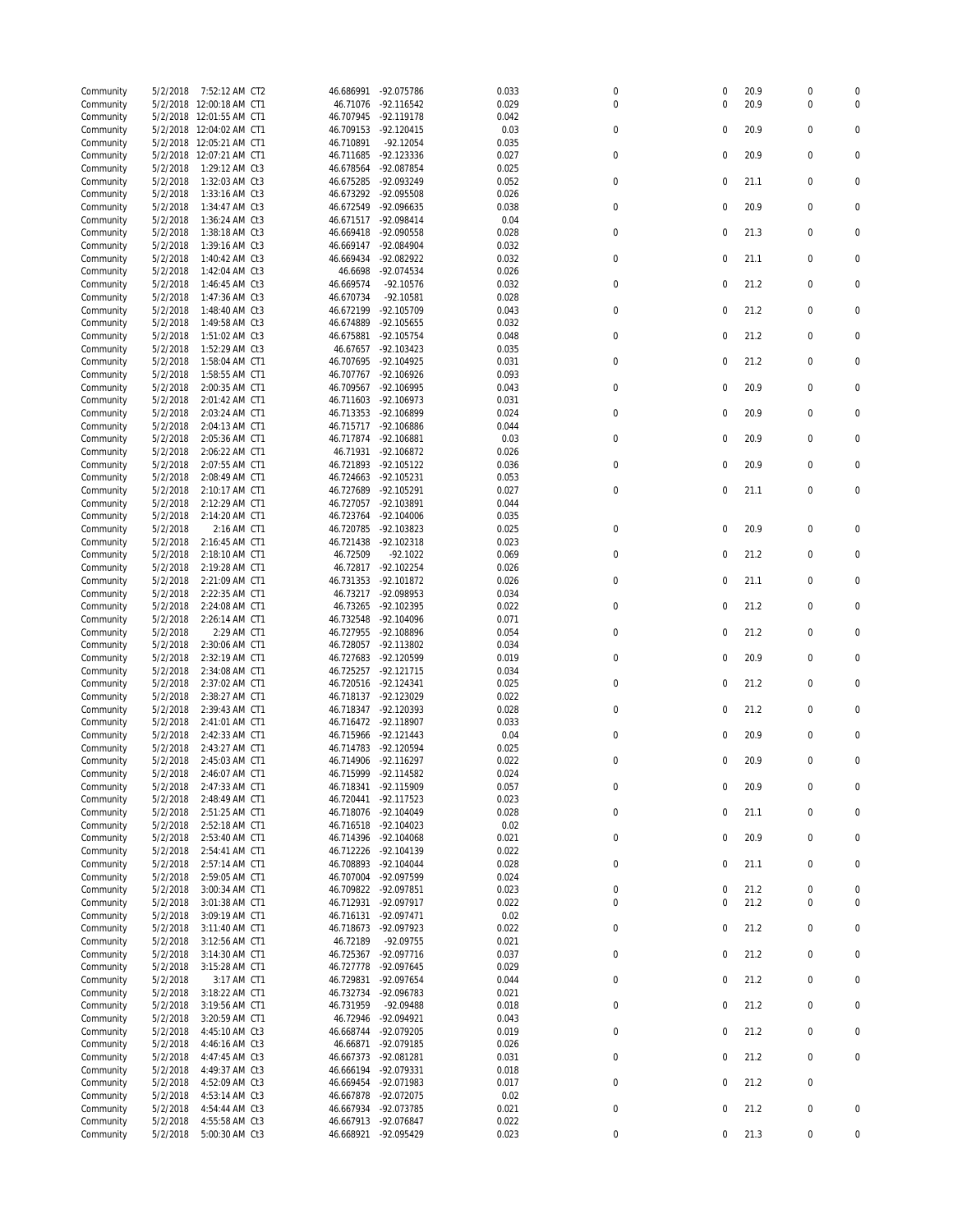| Community | 5/2/2018 | 7:52:12 AM CT2           | 46.686991            | -92.075786   | 0.033 | 0                | 0           | 20.9 | $\boldsymbol{0}$ | 0                |
|-----------|----------|--------------------------|----------------------|--------------|-------|------------------|-------------|------|------------------|------------------|
| Community |          | 5/2/2018 12:00:18 AM CT1 | 46.71076             | -92.116542   | 0.029 | 0                | 0           | 20.9 | $\mathbf 0$      | 0                |
| Community |          | 5/2/2018 12:01:55 AM CT1 | 46.707945            | -92.119178   | 0.042 |                  |             |      |                  |                  |
| Community |          | 5/2/2018 12:04:02 AM CT1 | 46.709153            | $-92.120415$ | 0.03  | 0                | 0           | 20.9 | 0                | 0                |
| Community |          | 5/2/2018 12:05:21 AM CT1 | 46.710891            | $-92.12054$  | 0.035 |                  |             |      |                  |                  |
| Community | 5/2/2018 | 12:07:21 AM CT1          | 46.711685            | -92.123336   | 0.027 | 0                | $\mathbf 0$ | 20.9 | $\mathbf 0$      | 0                |
| Community | 5/2/2018 | 1:29:12 AM Ct3           | 46.678564            | -92.087854   | 0.025 |                  |             |      |                  |                  |
| Community | 5/2/2018 | 1:32:03 AM Ct3           | 46.675285            | -92.093249   | 0.052 | 0                | $\mathbf 0$ | 21.1 | 0                | 0                |
| Community | 5/2/2018 | 1:33:16 AM Ct3           | 46.673292            | -92.095508   | 0.026 |                  |             |      |                  |                  |
|           |          |                          |                      |              |       | 0                | 0           |      | 0                | 0                |
| Community | 5/2/2018 | 1:34:47 AM Ct3           | 46.672549            | -92.096635   | 0.038 |                  |             | 20.9 |                  |                  |
| Community | 5/2/2018 | 1:36:24 AM Ct3           | 46.671517            | -92.098414   | 0.04  |                  |             |      |                  |                  |
| Community | 5/2/2018 | 1:38:18 AM Ct3           | 46.669418            | -92.090558   | 0.028 | $\mathbf 0$      | $\mathbf 0$ | 21.3 | 0                | 0                |
| Community | 5/2/2018 | 1:39:16 AM Ct3           | 46.669147            | -92.084904   | 0.032 |                  |             |      |                  |                  |
| Community | 5/2/2018 | 1:40:42 AM Ct3           | 46.669434            | -92.082922   | 0.032 | $\mathbf 0$      | $\mathbf 0$ | 21.1 | $\mathbf 0$      | 0                |
| Community | 5/2/2018 | 1:42:04 AM Ct3           | 46.6698              | -92.074534   | 0.026 |                  |             |      |                  |                  |
| Community | 5/2/2018 | 1:46:45 AM Ct3           | 46.669574            | $-92.10576$  | 0.032 | $\boldsymbol{0}$ | $\mathbf 0$ | 21.2 | $\mathbf 0$      | 0                |
| Community | 5/2/2018 | 1:47:36 AM Ct3           | 46.670734            | $-92.10581$  | 0.028 |                  |             |      |                  |                  |
| Community | 5/2/2018 | 1:48:40 AM Ct3           | 46.672199            | -92.105709   | 0.043 | $\mathbf 0$      | 0           | 21.2 | $\mathbf 0$      | 0                |
| Community | 5/2/2018 | 1:49:58 AM Ct3           | 46.674889            | $-92.105655$ | 0.032 |                  |             |      |                  |                  |
| Community | 5/2/2018 | 1:51:02 AM Ct3           | 46.675881            | -92.105754   | 0.048 | 0                | 0           | 21.2 | $\mathbf 0$      | 0                |
| Community | 5/2/2018 | 1:52:29 AM Ct3           | 46.67657             | -92.103423   | 0.035 |                  |             |      |                  |                  |
| Community | 5/2/2018 | 1:58:04 AM CT1           | 46.707695            | -92.104925   | 0.031 | $\mathbf 0$      | 0           | 21.2 | $\mathbf 0$      | 0                |
| Community | 5/2/2018 | 1:58:55 AM CT1           | 46.707767            | -92.106926   | 0.093 |                  |             |      |                  |                  |
| Community | 5/2/2018 | 2:00:35 AM CT1           | 46.709567            | -92.106995   | 0.043 | 0                | $\mathbf 0$ | 20.9 | 0                | 0                |
| Community | 5/2/2018 | 2:01:42 AM CT1           | 46.711603            | -92.106973   | 0.031 |                  |             |      |                  |                  |
|           |          |                          |                      |              |       | $\mathbf 0$      | $\mathbf 0$ | 20.9 | 0                | 0                |
| Community | 5/2/2018 | 2:03:24 AM CT1           | 46.713353            | -92.106899   | 0.024 |                  |             |      |                  |                  |
| Community | 5/2/2018 | 2:04:13 AM CT1           | 46.715717            | -92.106886   | 0.044 |                  |             |      |                  |                  |
| Community | 5/2/2018 | 2:05:36 AM CT1           | 46.717874            | $-92.106881$ | 0.03  | $\mathbf 0$      | $\mathbf 0$ | 20.9 | 0                | $\mathbf 0$      |
| Community | 5/2/2018 | 2:06:22 AM CT1           | 46.71931             | -92.106872   | 0.026 |                  |             |      |                  |                  |
| Community | 5/2/2018 | 2:07:55 AM CT1           | 46.721893            | -92.105122   | 0.036 | 0                | 0           | 20.9 | $\mathbf 0$      | 0                |
| Community | 5/2/2018 | 2:08:49 AM CT1           | 46.724663            | -92.105231   | 0.053 |                  |             |      |                  |                  |
| Community | 5/2/2018 | 2:10:17 AM CT1           | 46.727689            | -92.105291   | 0.027 | $\pmb{0}$        | 0           | 21.1 | $\mathbf 0$      | 0                |
| Community | 5/2/2018 | 2:12:29 AM CT1           | 46.727057            | -92.103891   | 0.044 |                  |             |      |                  |                  |
| Community | 5/2/2018 | 2:14:20 AM CT1           | 46.723764            | $-92.104006$ | 0.035 |                  |             |      |                  |                  |
| Community | 5/2/2018 | 2:16 AM CT1              | 46.720785            | -92.103823   | 0.025 | $\mathbf 0$      | 0           | 20.9 | $\mathbf 0$      | 0                |
| Community | 5/2/2018 | 2:16:45 AM CT1           | 46.721438            | $-92.102318$ | 0.023 |                  |             |      |                  |                  |
| Community | 5/2/2018 | 2:18:10 AM CT1           | 46.72509             | $-92.1022$   | 0.069 | 0                | $\mathbf 0$ | 21.2 | $\mathbf 0$      | 0                |
| Community | 5/2/2018 | 2:19:28 AM CT1           | 46.72817             | $-92.102254$ | 0.026 |                  |             |      |                  |                  |
| Community | 5/2/2018 | 2:21:09 AM CT1           | 46.731353            | -92.101872   | 0.026 | $\mathbf 0$      | $\mathbf 0$ | 21.1 | $\mathbf 0$      | 0                |
| Community | 5/2/2018 | 2:22:35 AM CT1           | 46.73217             | -92.098953   | 0.034 |                  |             |      |                  |                  |
| Community | 5/2/2018 | 2:24:08 AM CT1           | 46.73265             | -92.102395   | 0.022 | $\boldsymbol{0}$ | $\mathbf 0$ | 21.2 | 0                | 0                |
| Community | 5/2/2018 | 2:26:14 AM CT1           | 46.732548            | -92.104096   | 0.071 |                  |             |      |                  |                  |
| Community | 5/2/2018 | 2:29 AM CT1              | 46.727955            | -92.108896   | 0.054 | $\boldsymbol{0}$ | $\mathbf 0$ | 21.2 | $\mathbf 0$      | 0                |
|           |          |                          |                      |              |       |                  |             |      |                  |                  |
| Community | 5/2/2018 | 2:30:06 AM CT1           | 46.728057            | -92.113802   | 0.034 |                  |             |      |                  |                  |
| Community | 5/2/2018 | 2:32:19 AM CT1           | 46.727683            | -92.120599   | 0.019 | $\mathbf 0$      | $\mathbf 0$ | 20.9 | $\mathbf 0$      | 0                |
| Community | 5/2/2018 | 2:34:08 AM CT1           | 46.725257            | -92.121715   | 0.034 |                  |             |      |                  |                  |
| Community | 5/2/2018 | 2:37:02 AM CT1           | 46.720516            | $-92.124341$ | 0.025 | $\mathbf 0$      | 0           | 21.2 | $\mathbf 0$      | 0                |
| Community | 5/2/2018 | 2:38:27 AM CT1           | 46.718137            | -92.123029   | 0.022 |                  |             |      |                  |                  |
| Community | 5/2/2018 | 2:39:43 AM CT1           | 46.718347            | -92.120393   | 0.028 | 0                | 0           | 21.2 | $\mathbf 0$      | 0                |
| Community | 5/2/2018 | 2:41:01 AM CT1           | 46.716472 -92.118907 |              | 0.033 |                  |             |      |                  |                  |
| Community | 5/2/2018 | 2:42:33 AM CT1           | 46.715966            | $-92.121443$ | 0.04  | 0                | 0           | 20.9 | 0                | 0                |
| Community | 5/2/2018 | 2:43:27 AM CT1           | 46.714783            | -92.120594   | 0.025 |                  |             |      |                  |                  |
| Community | 5/2/2018 | 2:45:03 AM CT1           | 46.714906            | -92.116297   | 0.022 | 0                | $\mathbf 0$ | 20.9 | $\mathbf 0$      | 0                |
| Community | 5/2/2018 | 2:46:07 AM CT1           | 46.715999            | $-92.114582$ | 0.024 |                  |             |      |                  |                  |
| Community | 5/2/2018 | 2:47:33 AM CT1           | 46.718341            | -92.115909   | 0.057 | 0                | 0           | 20.9 | 0                | 0                |
| Community | 5/2/2018 | 2:48:49 AM CT1           | 46.720441            | -92.117523   | 0.023 |                  |             |      |                  |                  |
| Community | 5/2/2018 | 2:51:25 AM CT1           | 46.718076            | -92.104049   | 0.028 | $\boldsymbol{0}$ | $\mathbf 0$ | 21.1 | 0                | 0                |
| Community | 5/2/2018 | 2:52:18 AM CT1           | 46.716518            | $-92.104023$ | 0.02  |                  |             |      |                  |                  |
| Community | 5/2/2018 | 2:53:40 AM CT1           | 46.714396            | $-92.104068$ | 0.021 | $\mathbf 0$      | 0           | 20.9 | $\mathbf 0$      | 0                |
| Community | 5/2/2018 | 2:54:41 AM CT1           | 46.712226            | -92.104139   | 0.022 |                  |             |      |                  |                  |
| Community | 5/2/2018 | 2:57:14 AM CT1           | 46.708893            | $-92.104044$ | 0.028 | 0                | $\mathbf 0$ | 21.1 | $\boldsymbol{0}$ | 0                |
| Community | 5/2/2018 | 2:59:05 AM CT1           | 46.707004            | -92.097599   | 0.024 |                  |             |      |                  |                  |
| Community | 5/2/2018 | 3:00:34 AM CT1           | 46.709822            | -92.097851   | 0.023 | $\pmb{0}$        | $\mathbf 0$ | 21.2 | $\boldsymbol{0}$ | 0                |
| Community | 5/2/2018 | 3:01:38 AM CT1           | 46.712931            | -92.097917   | 0.022 | $\mathbf 0$      | 0           | 21.2 | $\mathbf 0$      | 0                |
|           | 5/2/2018 | 3:09:19 AM CT1           | 46.716131            | -92.097471   | 0.02  |                  |             |      |                  |                  |
| Community |          |                          |                      |              |       |                  |             |      |                  |                  |
| Community | 5/2/2018 | 3:11:40 AM CT1           | 46.718673            | -92.097923   | 0.022 | $\boldsymbol{0}$ | $\mathbf 0$ | 21.2 | 0                | $\boldsymbol{0}$ |
| Community | 5/2/2018 | 3:12:56 AM CT1           | 46.72189             | -92.09755    | 0.021 |                  |             |      |                  |                  |
| Community | 5/2/2018 | 3:14:30 AM CT1           | 46.725367            | $-92.097716$ | 0.037 | $\boldsymbol{0}$ | $\mathbf 0$ | 21.2 | 0                | 0                |
| Community | 5/2/2018 | 3:15:28 AM CT1           | 46.727778            | -92.097645   | 0.029 |                  |             |      |                  |                  |
| Community | 5/2/2018 | 3:17 AM CT1              | 46.729831            | -92.097654   | 0.044 | $\boldsymbol{0}$ | $\mathbf 0$ | 21.2 | 0                | 0                |
| Community | 5/2/2018 | 3:18:22 AM CT1           | 46.732734            | -92.096783   | 0.021 |                  |             |      |                  |                  |
| Community | 5/2/2018 | 3:19:56 AM CT1           | 46.731959            | -92.09488    | 0.018 | $\boldsymbol{0}$ | 0           | 21.2 | $\boldsymbol{0}$ | 0                |
| Community | 5/2/2018 | 3:20:59 AM CT1           | 46.72946             | -92.094921   | 0.043 |                  |             |      |                  |                  |
| Community | 5/2/2018 | 4:45:10 AM Ct3           | 46.668744            | -92.079205   | 0.019 | $\boldsymbol{0}$ | $\mathbf 0$ | 21.2 | $\boldsymbol{0}$ | 0                |
| Community | 5/2/2018 | 4:46:16 AM Ct3           | 46.66871             | -92.079185   | 0.026 |                  |             |      |                  |                  |
| Community | 5/2/2018 | 4:47:45 AM Ct3           | 46.667373            | -92.081281   | 0.031 | $\pmb{0}$        | $\mathbf 0$ | 21.2 | $\boldsymbol{0}$ | 0                |
| Community | 5/2/2018 | 4:49:37 AM Ct3           | 46.666194            | -92.079331   | 0.018 |                  |             |      |                  |                  |
| Community | 5/2/2018 | 4:52:09 AM Ct3           | 46.669454            | -92.071983   | 0.017 | $\pmb{0}$        | $\mathbf 0$ | 21.2 | 0                |                  |
| Community | 5/2/2018 | 4:53:14 AM Ct3           | 46.667878            | -92.072075   | 0.02  |                  |             |      |                  |                  |
| Community | 5/2/2018 | 4:54:44 AM Ct3           | 46.667934            | -92.073785   | 0.021 | 0                | 0           | 21.2 | 0                | 0                |
| Community | 5/2/2018 | 4:55:58 AM Ct3           | 46.667913            | -92.076847   | 0.022 |                  |             |      |                  |                  |
| Community | 5/2/2018 | 5:00:30 AM Ct3           | 46.668921            | -92.095429   | 0.023 | 0                | 0           | 21.3 | $\boldsymbol{0}$ | 0                |
|           |          |                          |                      |              |       |                  |             |      |                  |                  |